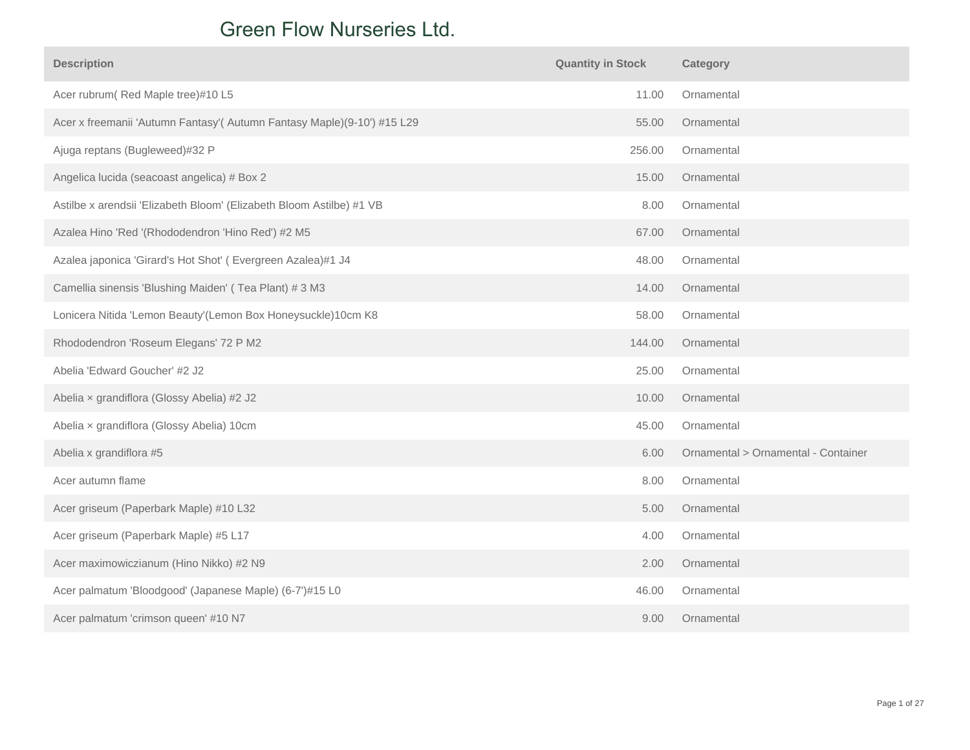## **Peels Nurseries Ltd.** Green Flow Nurseries Ltd.

| <b>Description</b>                                                      | <b>Quantity in Stock</b> | Category                            |
|-------------------------------------------------------------------------|--------------------------|-------------------------------------|
| Acer rubrum(Red Maple tree)#10 L5                                       | 11.00                    | Ornamental                          |
| Acer x freemanii 'Autumn Fantasy'( Autumn Fantasy Maple)(9-10') #15 L29 | 55.00                    | Ornamental                          |
| Ajuga reptans (Bugleweed)#32 P                                          | 256.00                   | Ornamental                          |
| Angelica lucida (seacoast angelica) # Box 2                             | 15.00                    | Ornamental                          |
| Astilbe x arendsii 'Elizabeth Bloom' (Elizabeth Bloom Astilbe) #1 VB    | 8.00                     | Ornamental                          |
| Azalea Hino 'Red '(Rhododendron 'Hino Red') #2 M5                       | 67.00                    | Ornamental                          |
| Azalea japonica 'Girard's Hot Shot' (Evergreen Azalea)#1 J4             | 48.00                    | Ornamental                          |
| Camellia sinensis 'Blushing Maiden' (Tea Plant) # 3 M3                  | 14.00                    | Ornamental                          |
| Lonicera Nitida 'Lemon Beauty'(Lemon Box Honeysuckle)10cm K8            | 58.00                    | Ornamental                          |
| Rhododendron 'Roseum Elegans' 72 P M2                                   | 144.00                   | Ornamental                          |
| Abelia 'Edward Goucher' #2 J2                                           | 25.00                    | Ornamental                          |
| Abelia x grandiflora (Glossy Abelia) #2 J2                              | 10.00                    | Ornamental                          |
| Abelia x grandiflora (Glossy Abelia) 10cm                               | 45.00                    | Ornamental                          |
| Abelia x grandiflora #5                                                 | 6.00                     | Ornamental > Ornamental - Container |
| Acer autumn flame                                                       | 8.00                     | Ornamental                          |
| Acer griseum (Paperbark Maple) #10 L32                                  | 5.00                     | Ornamental                          |
| Acer griseum (Paperbark Maple) #5 L17                                   | 4.00                     | Ornamental                          |
| Acer maximowiczianum (Hino Nikko) #2 N9                                 | 2.00                     | Ornamental                          |
| Acer palmatum 'Bloodgood' (Japanese Maple) (6-7')#15 L0                 | 46.00                    | Ornamental                          |
| Acer palmatum 'crimson queen' #10 N7                                    | 9.00                     | Ornamental                          |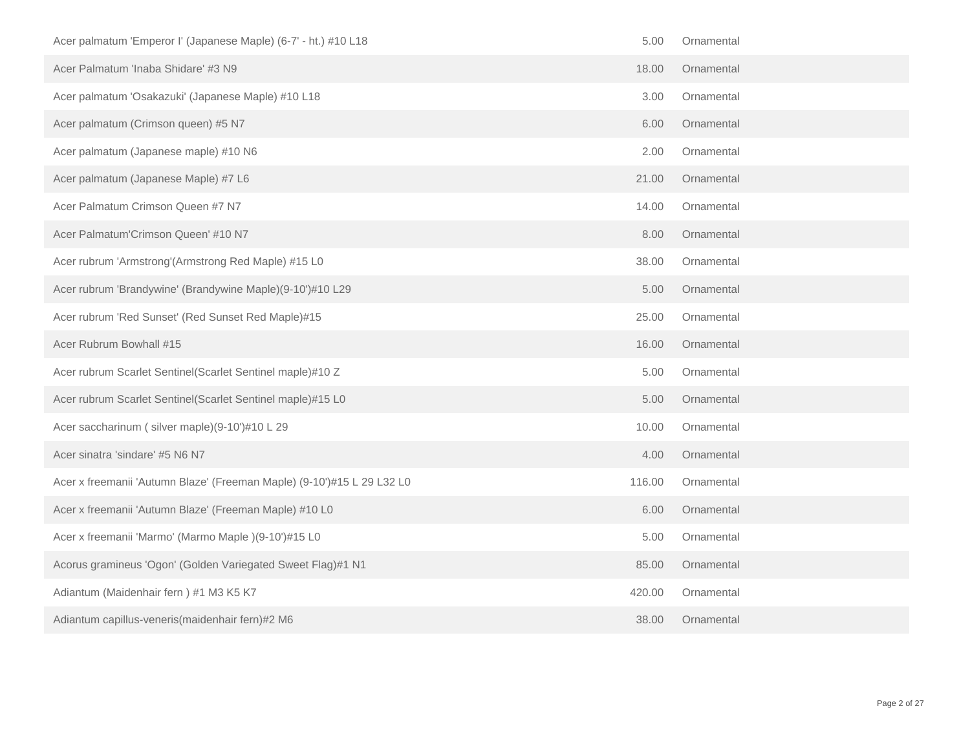| Acer palmatum 'Emperor I' (Japanese Maple) (6-7' - ht.) #10 L18        | 5.00   | Ornamental |  |
|------------------------------------------------------------------------|--------|------------|--|
| Acer Palmatum 'Inaba Shidare' #3 N9                                    | 18.00  | Ornamental |  |
| Acer palmatum 'Osakazuki' (Japanese Maple) #10 L18                     | 3.00   | Ornamental |  |
| Acer palmatum (Crimson queen) #5 N7                                    | 6.00   | Ornamental |  |
| Acer palmatum (Japanese maple) #10 N6                                  | 2.00   | Ornamental |  |
| Acer palmatum (Japanese Maple) #7 L6                                   | 21.00  | Ornamental |  |
| Acer Palmatum Crimson Queen #7 N7                                      | 14.00  | Ornamental |  |
| Acer Palmatum'Crimson Queen' #10 N7                                    | 8.00   | Ornamental |  |
| Acer rubrum 'Armstrong'(Armstrong Red Maple) #15 L0                    | 38.00  | Ornamental |  |
| Acer rubrum 'Brandywine' (Brandywine Maple)(9-10')#10 L29              | 5.00   | Ornamental |  |
| Acer rubrum 'Red Sunset' (Red Sunset Red Maple)#15                     | 25.00  | Ornamental |  |
| Acer Rubrum Bowhall #15                                                | 16.00  | Ornamental |  |
| Acer rubrum Scarlet Sentinel(Scarlet Sentinel maple)#10 Z              | 5.00   | Ornamental |  |
| Acer rubrum Scarlet Sentinel(Scarlet Sentinel maple)#15 L0             | 5.00   | Ornamental |  |
| Acer saccharinum (silver maple)(9-10')#10 L 29                         | 10.00  | Ornamental |  |
| Acer sinatra 'sindare' #5 N6 N7                                        | 4.00   | Ornamental |  |
| Acer x freemanii 'Autumn Blaze' (Freeman Maple) (9-10')#15 L 29 L32 L0 | 116.00 | Ornamental |  |
| Acer x freemanii 'Autumn Blaze' (Freeman Maple) #10 L0                 | 6.00   | Ornamental |  |
| Acer x freemanii 'Marmo' (Marmo Maple )(9-10')#15 L0                   | 5.00   | Ornamental |  |
| Acorus gramineus 'Ogon' (Golden Variegated Sweet Flag)#1 N1            | 85.00  | Ornamental |  |
| Adiantum (Maidenhair fern) #1 M3 K5 K7                                 | 420.00 | Ornamental |  |
| Adiantum capillus-veneris(maidenhair fern)#2 M6                        | 38.00  | Ornamental |  |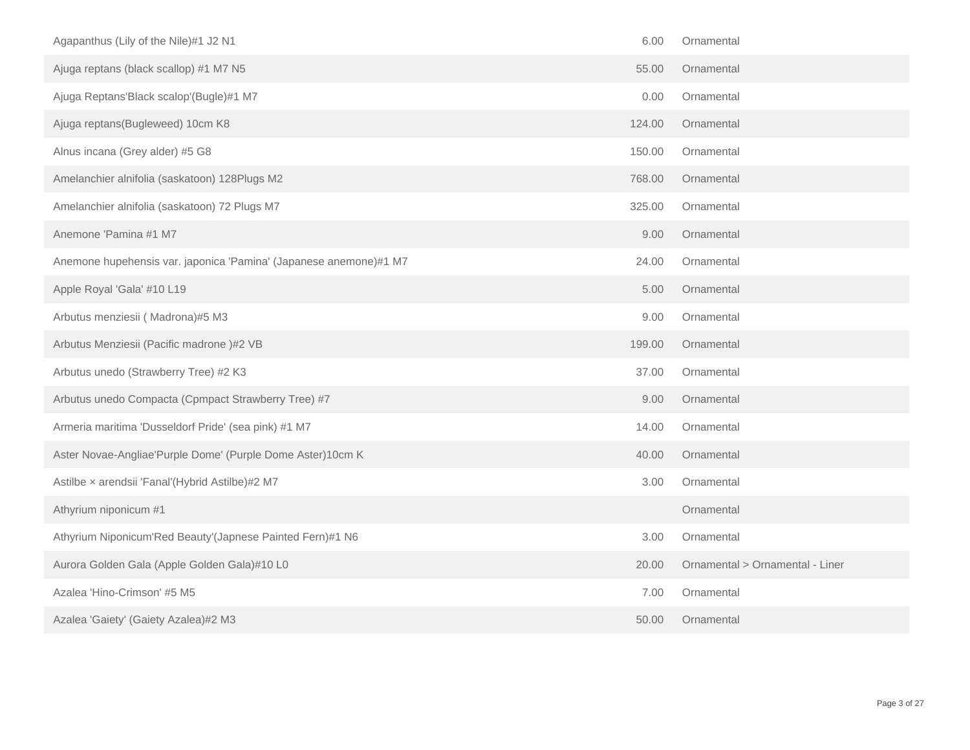| Agapanthus (Lily of the Nile)#1 J2 N1                             | 6.00   | Ornamental                      |
|-------------------------------------------------------------------|--------|---------------------------------|
| Ajuga reptans (black scallop) #1 M7 N5                            | 55.00  | Ornamental                      |
| Ajuga Reptans'Black scalop'(Bugle)#1 M7                           | 0.00   | Ornamental                      |
| Ajuga reptans(Bugleweed) 10cm K8                                  | 124.00 | Ornamental                      |
| Alnus incana (Grey alder) #5 G8                                   | 150.00 | Ornamental                      |
| Amelanchier alnifolia (saskatoon) 128Plugs M2                     | 768.00 | Ornamental                      |
| Amelanchier alnifolia (saskatoon) 72 Plugs M7                     | 325.00 | Ornamental                      |
| Anemone 'Pamina #1 M7                                             | 9.00   | Ornamental                      |
| Anemone hupehensis var. japonica 'Pamina' (Japanese anemone)#1 M7 | 24.00  | Ornamental                      |
| Apple Royal 'Gala' #10 L19                                        | 5.00   | Ornamental                      |
| Arbutus menziesii (Madrona)#5 M3                                  | 9.00   | Ornamental                      |
| Arbutus Menziesii (Pacific madrone)#2 VB                          | 199.00 | Ornamental                      |
| Arbutus unedo (Strawberry Tree) #2 K3                             | 37.00  | Ornamental                      |
| Arbutus unedo Compacta (Cpmpact Strawberry Tree) #7               | 9.00   | Ornamental                      |
| Armeria maritima 'Dusseldorf Pride' (sea pink) #1 M7              | 14.00  | Ornamental                      |
| Aster Novae-Angliae'Purple Dome' (Purple Dome Aster)10cm K        | 40.00  | Ornamental                      |
| Astilbe x arendsii 'Fanal'(Hybrid Astilbe)#2 M7                   | 3.00   | Ornamental                      |
| Athyrium niponicum #1                                             |        | Ornamental                      |
| Athyrium Niponicum'Red Beauty'(Japnese Painted Fern)#1 N6         | 3.00   | Ornamental                      |
| Aurora Golden Gala (Apple Golden Gala)#10 L0                      | 20.00  | Ornamental > Ornamental - Liner |
| Azalea 'Hino-Crimson' #5 M5                                       | 7.00   | Ornamental                      |
| Azalea 'Gaiety' (Gaiety Azalea)#2 M3                              | 50.00  | Ornamental                      |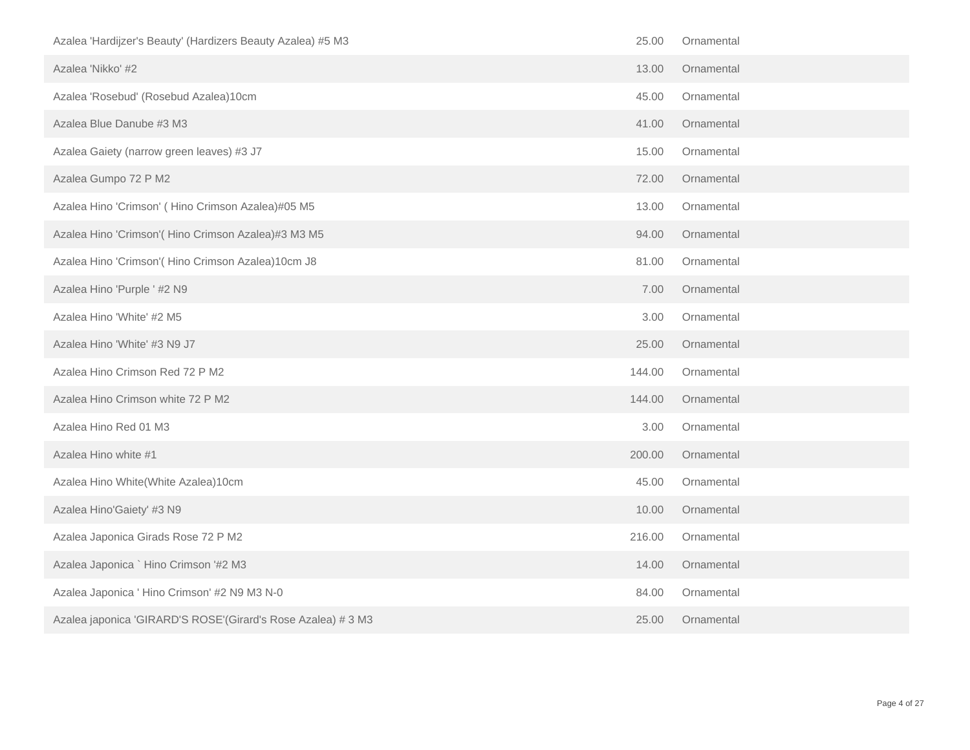| Azalea 'Hardijzer's Beauty' (Hardizers Beauty Azalea) #5 M3  | 25.00  | Ornamental |
|--------------------------------------------------------------|--------|------------|
| Azalea 'Nikko' #2                                            | 13.00  | Ornamental |
| Azalea 'Rosebud' (Rosebud Azalea)10cm                        | 45.00  | Ornamental |
| Azalea Blue Danube #3 M3                                     | 41.00  | Ornamental |
| Azalea Gaiety (narrow green leaves) #3 J7                    | 15.00  | Ornamental |
| Azalea Gumpo 72 P M2                                         | 72.00  | Ornamental |
| Azalea Hino 'Crimson' (Hino Crimson Azalea)#05 M5            | 13.00  | Ornamental |
| Azalea Hino 'Crimson'( Hino Crimson Azalea)#3 M3 M5          | 94.00  | Ornamental |
| Azalea Hino 'Crimson'( Hino Crimson Azalea)10cm J8           | 81.00  | Ornamental |
| Azalea Hino 'Purple ' #2 N9                                  | 7.00   | Ornamental |
| Azalea Hino 'White' #2 M5                                    | 3.00   | Ornamental |
| Azalea Hino 'White' #3 N9 J7                                 | 25.00  | Ornamental |
| Azalea Hino Crimson Red 72 P M2                              | 144.00 | Ornamental |
| Azalea Hino Crimson white 72 P M2                            | 144.00 | Ornamental |
| Azalea Hino Red 01 M3                                        | 3.00   | Ornamental |
| Azalea Hino white #1                                         | 200.00 | Ornamental |
| Azalea Hino White(White Azalea)10cm                          | 45.00  | Ornamental |
| Azalea Hino'Gaiety' #3 N9                                    | 10.00  | Ornamental |
| Azalea Japonica Girads Rose 72 P M2                          | 216.00 | Ornamental |
| Azalea Japonica ` Hino Crimson '#2 M3                        | 14.00  | Ornamental |
| Azalea Japonica ' Hino Crimson' #2 N9 M3 N-0                 | 84.00  | Ornamental |
| Azalea japonica 'GIRARD'S ROSE'(Girard's Rose Azalea) # 3 M3 | 25.00  | Ornamental |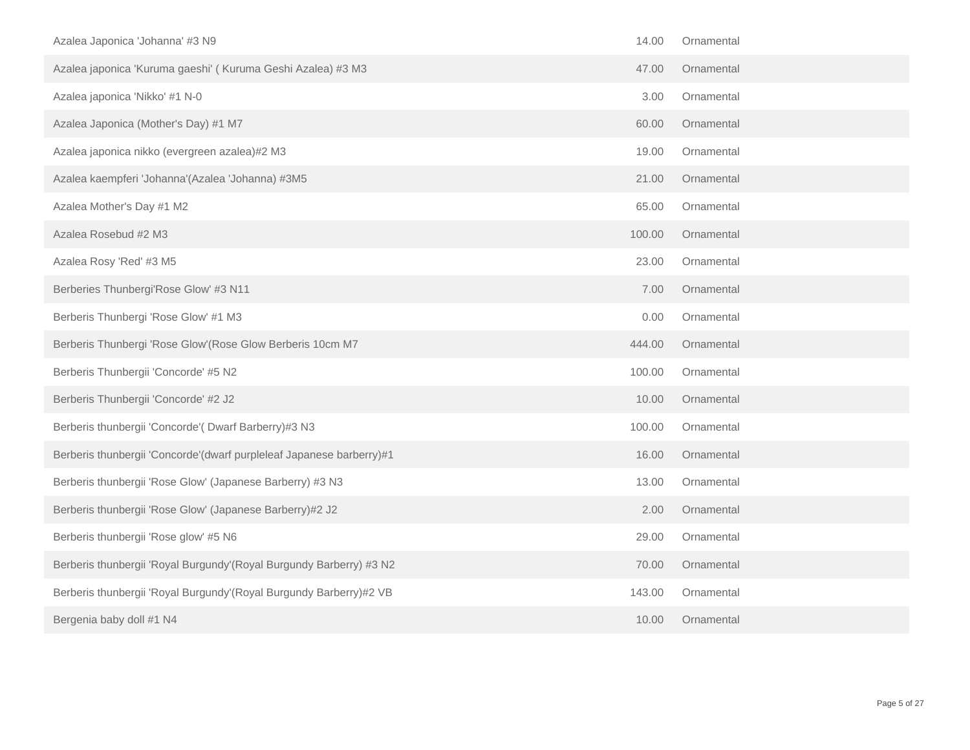| Azalea Japonica 'Johanna' #3 N9                                      | 14.00  | Ornamental |
|----------------------------------------------------------------------|--------|------------|
| Azalea japonica 'Kuruma gaeshi' ( Kuruma Geshi Azalea) #3 M3         | 47.00  | Ornamental |
| Azalea japonica 'Nikko' #1 N-0                                       | 3.00   | Ornamental |
| Azalea Japonica (Mother's Day) #1 M7                                 | 60.00  | Ornamental |
| Azalea japonica nikko (evergreen azalea)#2 M3                        | 19.00  | Ornamental |
| Azalea kaempferi 'Johanna'(Azalea 'Johanna) #3M5                     | 21.00  | Ornamental |
| Azalea Mother's Day #1 M2                                            | 65.00  | Ornamental |
| Azalea Rosebud #2 M3                                                 | 100.00 | Ornamental |
| Azalea Rosy 'Red' #3 M5                                              | 23.00  | Ornamental |
| Berberies Thunbergi'Rose Glow' #3 N11                                | 7.00   | Ornamental |
| Berberis Thunbergi 'Rose Glow' #1 M3                                 | 0.00   | Ornamental |
| Berberis Thunbergi 'Rose Glow'(Rose Glow Berberis 10cm M7            | 444.00 | Ornamental |
| Berberis Thunbergii 'Concorde' #5 N2                                 | 100.00 | Ornamental |
| Berberis Thunbergii 'Concorde' #2 J2                                 | 10.00  | Ornamental |
| Berberis thunbergii 'Concorde'( Dwarf Barberry)#3 N3                 | 100.00 | Ornamental |
| Berberis thunbergii 'Concorde'(dwarf purpleleaf Japanese barberry)#1 | 16.00  | Ornamental |
| Berberis thunbergii 'Rose Glow' (Japanese Barberry) #3 N3            | 13.00  | Ornamental |
| Berberis thunbergii 'Rose Glow' (Japanese Barberry)#2 J2             | 2.00   | Ornamental |
| Berberis thunbergii 'Rose glow' #5 N6                                | 29.00  | Ornamental |
| Berberis thunbergii 'Royal Burgundy'(Royal Burgundy Barberry) #3 N2  | 70.00  | Ornamental |
| Berberis thunbergii 'Royal Burgundy'(Royal Burgundy Barberry)#2 VB   | 143.00 | Ornamental |
| Bergenia baby doll #1 N4                                             | 10.00  | Ornamental |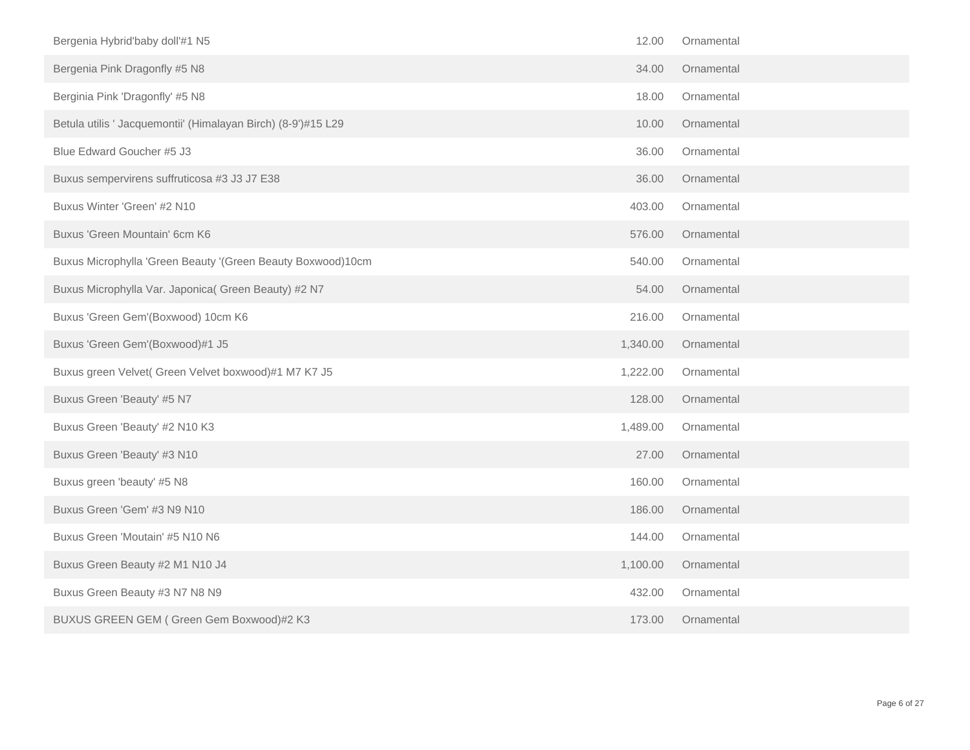| Bergenia Hybrid'baby doll'#1 N5                               | 12.00    | Ornamental |
|---------------------------------------------------------------|----------|------------|
| Bergenia Pink Dragonfly #5 N8                                 | 34.00    | Ornamental |
| Berginia Pink 'Dragonfly' #5 N8                               | 18.00    | Ornamental |
| Betula utilis ' Jacquemontii' (Himalayan Birch) (8-9')#15 L29 | 10.00    | Ornamental |
| Blue Edward Goucher #5 J3                                     | 36.00    | Ornamental |
| Buxus sempervirens suffruticosa #3 J3 J7 E38                  | 36.00    | Ornamental |
| Buxus Winter 'Green' #2 N10                                   | 403.00   | Ornamental |
| Buxus 'Green Mountain' 6cm K6                                 | 576.00   | Ornamental |
| Buxus Microphylla 'Green Beauty '(Green Beauty Boxwood)10cm   | 540.00   | Ornamental |
| Buxus Microphylla Var. Japonica( Green Beauty) #2 N7          | 54.00    | Ornamental |
| Buxus 'Green Gem'(Boxwood) 10cm K6                            | 216.00   | Ornamental |
| Buxus 'Green Gem'(Boxwood)#1 J5                               | 1,340.00 | Ornamental |
| Buxus green Velvet( Green Velvet boxwood)#1 M7 K7 J5          | 1,222.00 | Ornamental |
| Buxus Green 'Beauty' #5 N7                                    | 128.00   | Ornamental |
| Buxus Green 'Beauty' #2 N10 K3                                | 1,489.00 | Ornamental |
| Buxus Green 'Beauty' #3 N10                                   | 27.00    | Ornamental |
| Buxus green 'beauty' #5 N8                                    | 160.00   | Ornamental |
| Buxus Green 'Gem' #3 N9 N10                                   | 186.00   | Ornamental |
| Buxus Green 'Moutain' #5 N10 N6                               | 144.00   | Ornamental |
| Buxus Green Beauty #2 M1 N10 J4                               | 1,100.00 | Ornamental |
| Buxus Green Beauty #3 N7 N8 N9                                | 432.00   | Ornamental |
| BUXUS GREEN GEM (Green Gem Boxwood)#2 K3                      | 173.00   | Ornamental |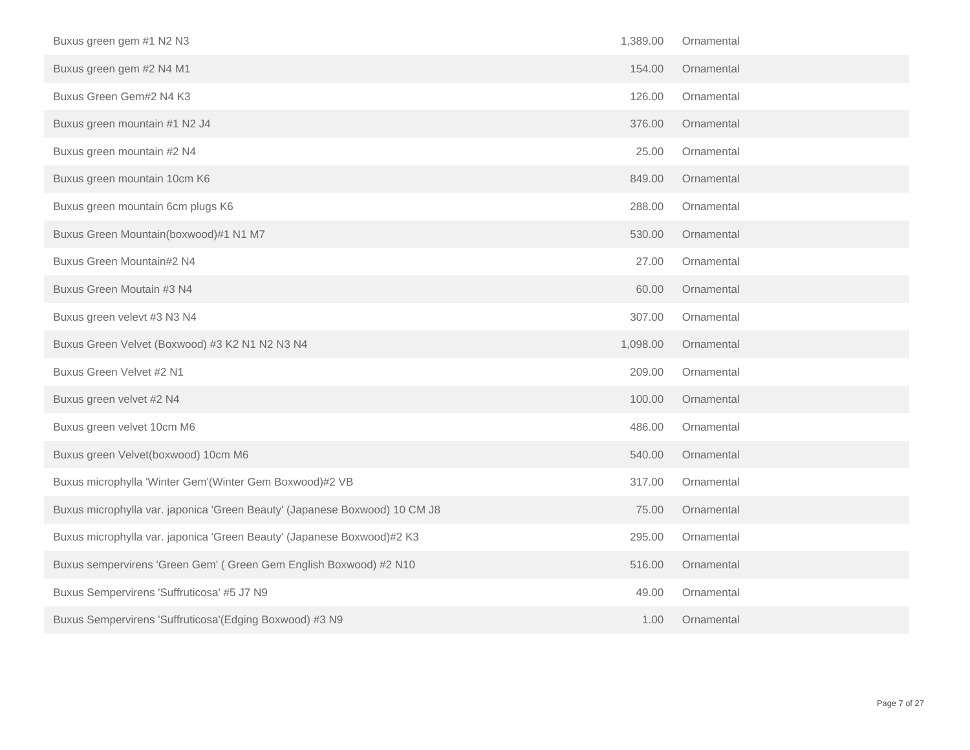| Buxus green gem #1 N2 N3                                                   | 1,389.00 | Ornamental |
|----------------------------------------------------------------------------|----------|------------|
| Buxus green gem #2 N4 M1                                                   | 154.00   | Ornamental |
| Buxus Green Gem#2 N4 K3                                                    | 126.00   | Ornamental |
| Buxus green mountain #1 N2 J4                                              | 376.00   | Ornamental |
| Buxus green mountain #2 N4                                                 | 25.00    | Ornamental |
| Buxus green mountain 10cm K6                                               | 849.00   | Ornamental |
| Buxus green mountain 6cm plugs K6                                          | 288.00   | Ornamental |
| Buxus Green Mountain(boxwood)#1 N1 M7                                      | 530.00   | Ornamental |
| Buxus Green Mountain#2 N4                                                  | 27.00    | Ornamental |
| Buxus Green Moutain #3 N4                                                  | 60.00    | Ornamental |
| Buxus green velevt #3 N3 N4                                                | 307.00   | Ornamental |
| Buxus Green Velvet (Boxwood) #3 K2 N1 N2 N3 N4                             | 1,098.00 | Ornamental |
| Buxus Green Velvet #2 N1                                                   | 209.00   | Ornamental |
| Buxus green velvet #2 N4                                                   | 100.00   | Ornamental |
| Buxus green velvet 10cm M6                                                 | 486.00   | Ornamental |
| Buxus green Velvet(boxwood) 10cm M6                                        | 540.00   | Ornamental |
| Buxus microphylla 'Winter Gem'(Winter Gem Boxwood)#2 VB                    | 317.00   | Ornamental |
| Buxus microphylla var. japonica 'Green Beauty' (Japanese Boxwood) 10 CM J8 | 75.00    | Ornamental |
| Buxus microphylla var. japonica 'Green Beauty' (Japanese Boxwood)#2 K3     | 295.00   | Ornamental |
| Buxus sempervirens 'Green Gem' (Green Gem English Boxwood) #2 N10          | 516.00   | Ornamental |
| Buxus Sempervirens 'Suffruticosa' #5 J7 N9                                 | 49.00    | Ornamental |
| Buxus Sempervirens 'Suffruticosa'(Edging Boxwood) #3 N9                    | 1.00     | Ornamental |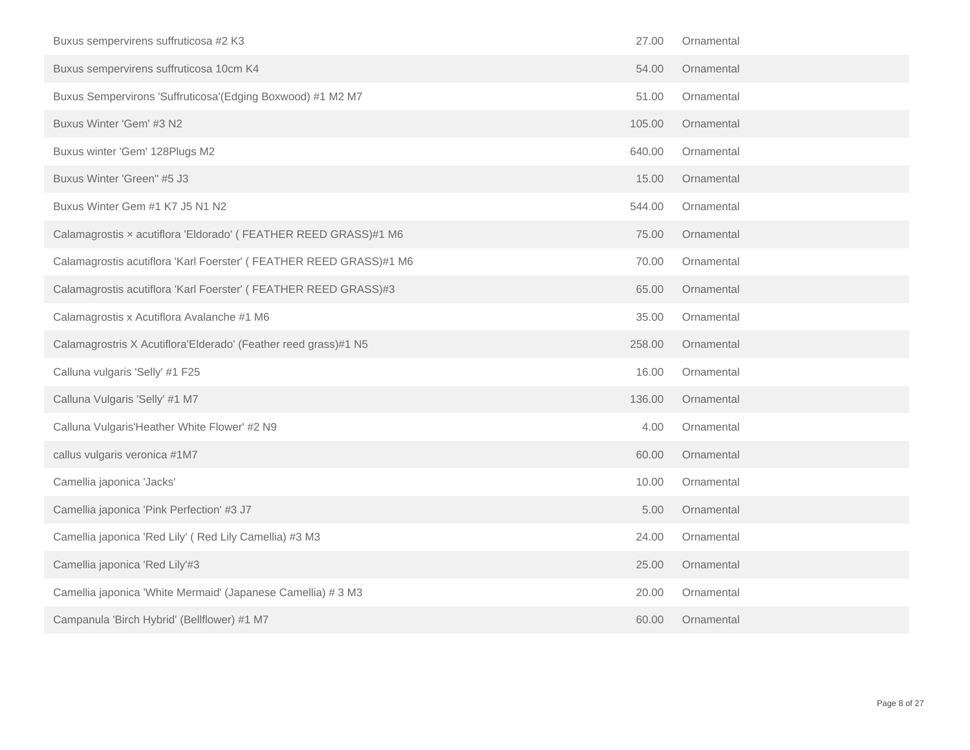| Buxus sempervirens suffruticosa #2 K3                              | 27.00  | Ornamental |
|--------------------------------------------------------------------|--------|------------|
| Buxus sempervirens suffruticosa 10cm K4                            | 54.00  | Ornamental |
| Buxus Sempervirons 'Suffruticosa'(Edging Boxwood) #1 M2 M7         | 51.00  | Ornamental |
| Buxus Winter 'Gem' #3 N2                                           | 105.00 | Ornamental |
| Buxus winter 'Gem' 128Plugs M2                                     | 640.00 | Ornamental |
| Buxus Winter 'Green" #5 J3                                         | 15.00  | Ornamental |
| Buxus Winter Gem #1 K7 J5 N1 N2                                    | 544.00 | Ornamental |
| Calamagrostis x acutiflora 'Eldorado' (FEATHER REED GRASS)#1 M6    | 75.00  | Ornamental |
| Calamagrostis acutiflora 'Karl Foerster' (FEATHER REED GRASS)#1 M6 | 70.00  | Ornamental |
| Calamagrostis acutiflora 'Karl Foerster' (FEATHER REED GRASS)#3    | 65.00  | Ornamental |
| Calamagrostis x Acutiflora Avalanche #1 M6                         | 35.00  | Ornamental |
| Calamagrostris X Acutiflora'Elderado' (Feather reed grass)#1 N5    | 258.00 | Ornamental |
| Calluna vulgaris 'Selly' #1 F25                                    | 16.00  | Ornamental |
| Calluna Vulgaris 'Selly' #1 M7                                     | 136.00 | Ornamental |
| Calluna Vulgaris'Heather White Flower' #2 N9                       | 4.00   | Ornamental |
| callus vulgaris veronica #1M7                                      | 60.00  | Ornamental |
| Camellia japonica 'Jacks'                                          | 10.00  | Ornamental |
| Camellia japonica 'Pink Perfection' #3 J7                          | 5.00   | Ornamental |
| Camellia japonica 'Red Lily' (Red Lily Camellia) #3 M3             | 24.00  | Ornamental |
| Camellia japonica 'Red Lily'#3                                     | 25.00  | Ornamental |
| Camellia japonica 'White Mermaid' (Japanese Camellia) # 3 M3       | 20.00  | Ornamental |
| Campanula 'Birch Hybrid' (Bellflower) #1 M7                        | 60.00  | Ornamental |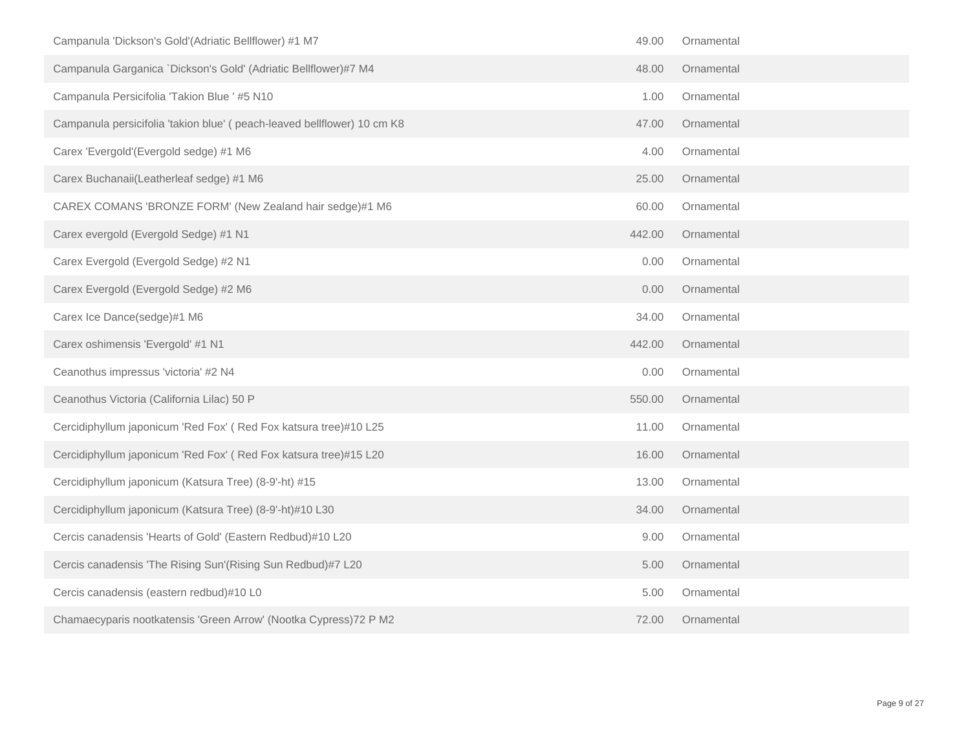| Campanula 'Dickson's Gold'(Adriatic Bellflower) #1 M7                   | 49.00  | Ornamental |  |
|-------------------------------------------------------------------------|--------|------------|--|
| Campanula Garganica `Dickson's Gold' (Adriatic Bellflower)#7 M4         | 48.00  | Ornamental |  |
| Campanula Persicifolia 'Takion Blue ' #5 N10                            | 1.00   | Ornamental |  |
| Campanula persicifolia 'takion blue' (peach-leaved bellflower) 10 cm K8 | 47.00  | Ornamental |  |
| Carex 'Evergold'(Evergold sedge) #1 M6                                  | 4.00   | Ornamental |  |
| Carex Buchanaii(Leatherleaf sedge) #1 M6                                | 25.00  | Ornamental |  |
| CAREX COMANS 'BRONZE FORM' (New Zealand hair sedge)#1 M6                | 60.00  | Ornamental |  |
| Carex evergold (Evergold Sedge) #1 N1                                   | 442.00 | Ornamental |  |
| Carex Evergold (Evergold Sedge) #2 N1                                   | 0.00   | Ornamental |  |
| Carex Evergold (Evergold Sedge) #2 M6                                   | 0.00   | Ornamental |  |
| Carex Ice Dance(sedge)#1 M6                                             | 34.00  | Ornamental |  |
| Carex oshimensis 'Evergold' #1 N1                                       | 442.00 | Ornamental |  |
| Ceanothus impressus 'victoria' #2 N4                                    | 0.00   | Ornamental |  |
| Ceanothus Victoria (California Lilac) 50 P                              | 550.00 | Ornamental |  |
| Cercidiphyllum japonicum 'Red Fox' (Red Fox katsura tree)#10 L25        | 11.00  | Ornamental |  |
| Cercidiphyllum japonicum 'Red Fox' (Red Fox katsura tree)#15 L20        | 16.00  | Ornamental |  |
| Cercidiphyllum japonicum (Katsura Tree) (8-9'-ht) #15                   | 13.00  | Ornamental |  |
| Cercidiphyllum japonicum (Katsura Tree) (8-9'-ht)#10 L30                | 34.00  | Ornamental |  |
| Cercis canadensis 'Hearts of Gold' (Eastern Redbud)#10 L20              | 9.00   | Ornamental |  |
| Cercis canadensis 'The Rising Sun'(Rising Sun Redbud)#7 L20             | 5.00   | Ornamental |  |
| Cercis canadensis (eastern redbud)#10 L0                                | 5.00   | Ornamental |  |
| Chamaecyparis nootkatensis 'Green Arrow' (Nootka Cypress) 72 P M2       | 72.00  | Ornamental |  |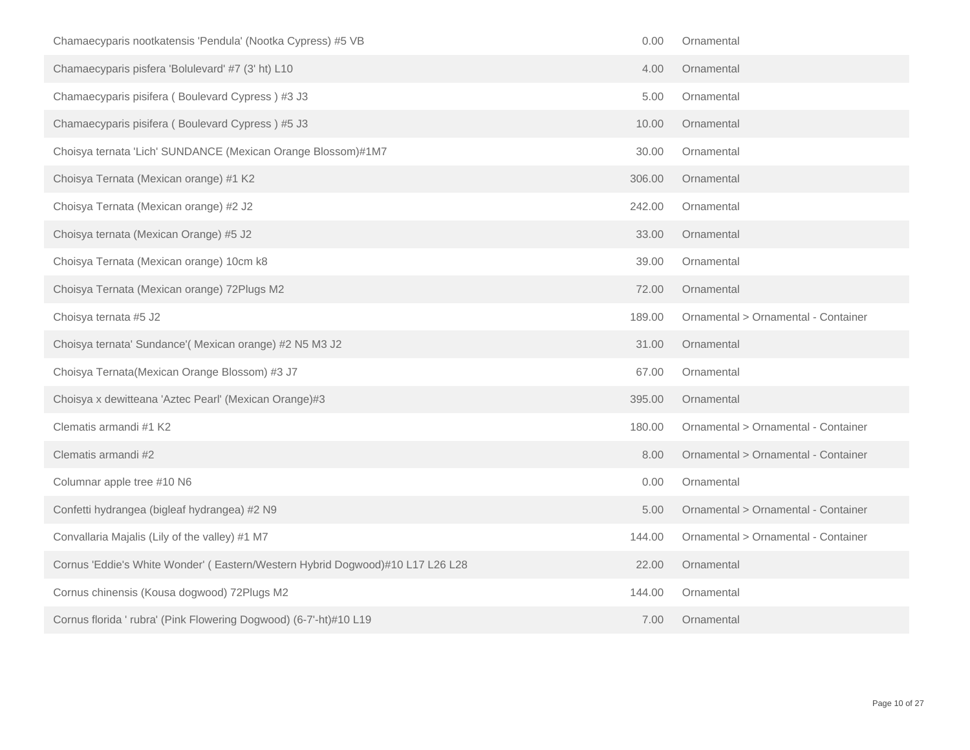| Chamaecyparis nootkatensis 'Pendula' (Nootka Cypress) #5 VB                   | 0.00   | Ornamental                          |
|-------------------------------------------------------------------------------|--------|-------------------------------------|
| Chamaecyparis pisfera 'Bolulevard' #7 (3' ht) L10                             | 4.00   | Ornamental                          |
| Chamaecyparis pisifera (Boulevard Cypress) #3 J3                              | 5.00   | Ornamental                          |
| Chamaecyparis pisifera (Boulevard Cypress) #5 J3                              | 10.00  | Ornamental                          |
| Choisya ternata 'Lich' SUNDANCE (Mexican Orange Blossom)#1M7                  | 30.00  | Ornamental                          |
| Choisya Ternata (Mexican orange) #1 K2                                        | 306.00 | Ornamental                          |
| Choisya Ternata (Mexican orange) #2 J2                                        | 242.00 | Ornamental                          |
| Choisya ternata (Mexican Orange) #5 J2                                        | 33.00  | Ornamental                          |
| Choisya Ternata (Mexican orange) 10cm k8                                      | 39.00  | Ornamental                          |
| Choisya Ternata (Mexican orange) 72Plugs M2                                   | 72.00  | Ornamental                          |
| Choisya ternata #5 J2                                                         | 189.00 | Ornamental > Ornamental - Container |
| Choisya ternata' Sundance'(Mexican orange) #2 N5 M3 J2                        | 31.00  | Ornamental                          |
| Choisya Ternata(Mexican Orange Blossom) #3 J7                                 | 67.00  | Ornamental                          |
| Choisya x dewitteana 'Aztec Pearl' (Mexican Orange)#3                         | 395.00 | Ornamental                          |
| Clematis armandi #1 K2                                                        | 180.00 | Ornamental > Ornamental - Container |
| Clematis armandi #2                                                           | 8.00   | Ornamental > Ornamental - Container |
| Columnar apple tree #10 N6                                                    | 0.00   | Ornamental                          |
| Confetti hydrangea (bigleaf hydrangea) #2 N9                                  | 5.00   | Ornamental > Ornamental - Container |
| Convallaria Majalis (Lily of the valley) #1 M7                                | 144.00 | Ornamental > Ornamental - Container |
| Cornus 'Eddie's White Wonder' (Eastern/Western Hybrid Dogwood)#10 L17 L26 L28 | 22.00  | Ornamental                          |
| Cornus chinensis (Kousa dogwood) 72Plugs M2                                   | 144.00 | Ornamental                          |
| Cornus florida ' rubra' (Pink Flowering Dogwood) (6-7'-ht)#10 L19             | 7.00   | Ornamental                          |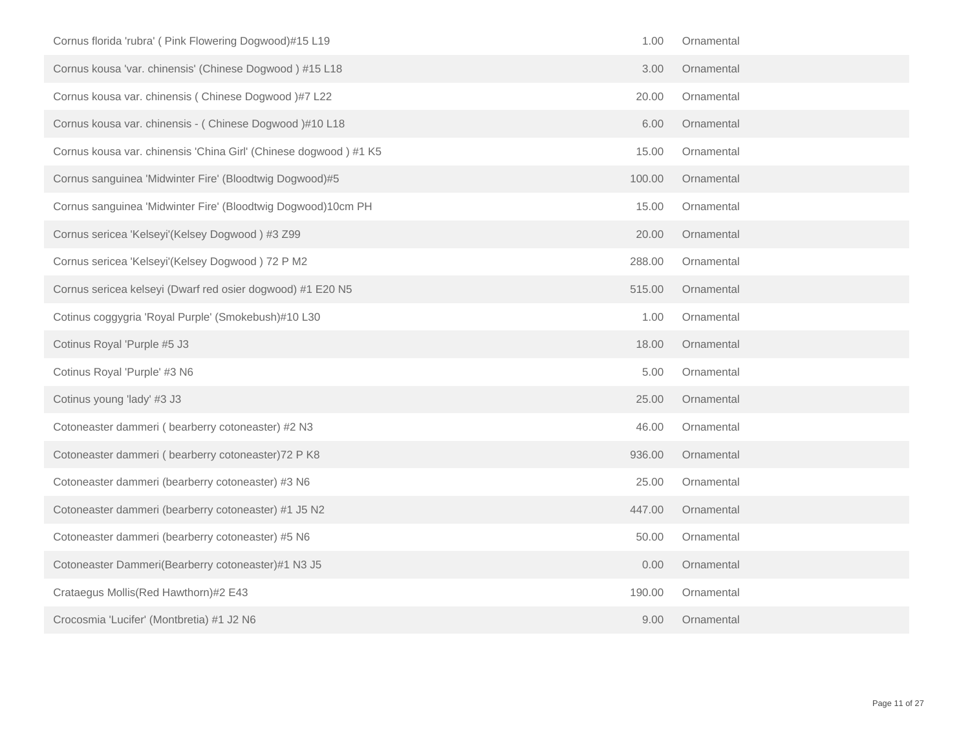| Cornus florida 'rubra' ( Pink Flowering Dogwood)#15 L19          | 1.00   | Ornamental |  |
|------------------------------------------------------------------|--------|------------|--|
| Cornus kousa 'var. chinensis' (Chinese Dogwood) #15 L18          | 3.00   | Ornamental |  |
| Cornus kousa var. chinensis (Chinese Dogwood)#7 L22              | 20.00  | Ornamental |  |
| Cornus kousa var. chinensis - (Chinese Dogwood)#10 L18           | 6.00   | Ornamental |  |
| Cornus kousa var. chinensis 'China Girl' (Chinese dogwood) #1 K5 | 15.00  | Ornamental |  |
| Cornus sanguinea 'Midwinter Fire' (Bloodtwig Dogwood)#5          | 100.00 | Ornamental |  |
| Cornus sanguinea 'Midwinter Fire' (Bloodtwig Dogwood)10cm PH     | 15.00  | Ornamental |  |
| Cornus sericea 'Kelseyi'(Kelsey Dogwood) #3 Z99                  | 20.00  | Ornamental |  |
| Cornus sericea 'Kelseyi'(Kelsey Dogwood) 72 P M2                 | 288.00 | Ornamental |  |
| Cornus sericea kelseyi (Dwarf red osier dogwood) #1 E20 N5       | 515.00 | Ornamental |  |
| Cotinus coggygria 'Royal Purple' (Smokebush)#10 L30              | 1.00   | Ornamental |  |
| Cotinus Royal 'Purple #5 J3                                      | 18.00  | Ornamental |  |
| Cotinus Royal 'Purple' #3 N6                                     | 5.00   | Ornamental |  |
| Cotinus young 'lady' #3 J3                                       | 25.00  | Ornamental |  |
| Cotoneaster dammeri (bearberry cotoneaster) #2 N3                | 46.00  | Ornamental |  |
| Cotoneaster dammeri (bearberry cotoneaster) 72 P K8              | 936.00 | Ornamental |  |
| Cotoneaster dammeri (bearberry cotoneaster) #3 N6                | 25.00  | Ornamental |  |
| Cotoneaster dammeri (bearberry cotoneaster) #1 J5 N2             | 447.00 | Ornamental |  |
| Cotoneaster dammeri (bearberry cotoneaster) #5 N6                | 50.00  | Ornamental |  |
| Cotoneaster Dammeri(Bearberry cotoneaster)#1 N3 J5               | 0.00   | Ornamental |  |
| Crataegus Mollis (Red Hawthorn)#2 E43                            | 190.00 | Ornamental |  |
| Crocosmia 'Lucifer' (Montbretia) #1 J2 N6                        | 9.00   | Ornamental |  |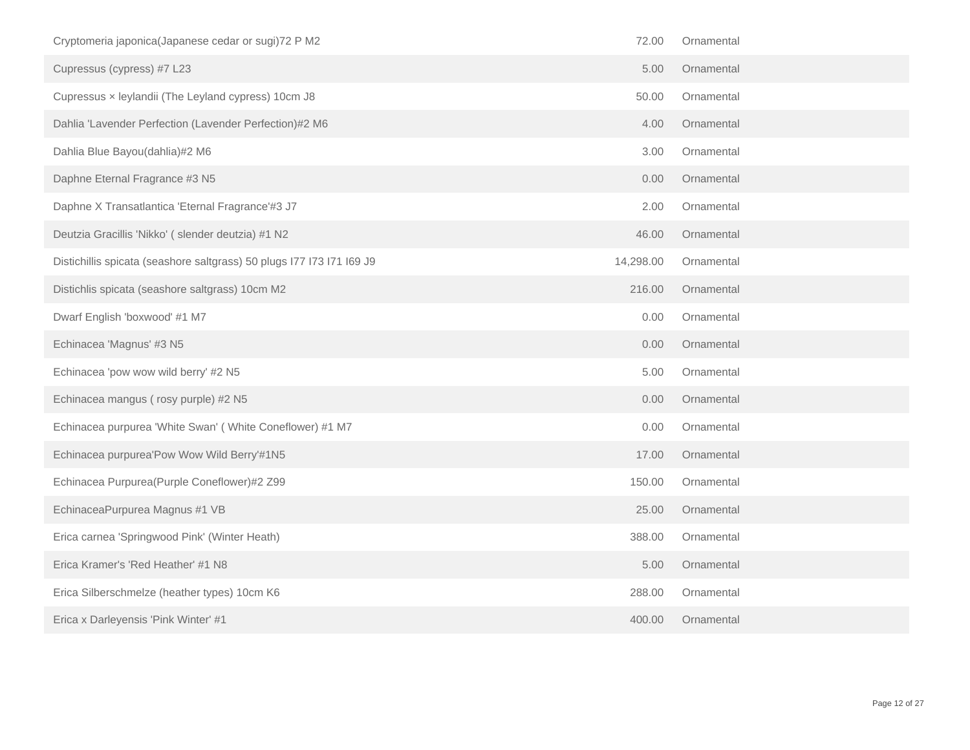| Cryptomeria japonica(Japanese cedar or sugi) 72 P M2                  | 72.00     | Ornamental |
|-----------------------------------------------------------------------|-----------|------------|
| Cupressus (cypress) #7 L23                                            | 5.00      | Ornamental |
| Cupressus x leylandii (The Leyland cypress) 10cm J8                   | 50.00     | Ornamental |
| Dahlia 'Lavender Perfection (Lavender Perfection)#2 M6                | 4.00      | Ornamental |
| Dahlia Blue Bayou(dahlia)#2 M6                                        | 3.00      | Ornamental |
| Daphne Eternal Fragrance #3 N5                                        | 0.00      | Ornamental |
| Daphne X Transatlantica 'Eternal Fragrance'#3 J7                      | 2.00      | Ornamental |
| Deutzia Gracillis 'Nikko' (slender deutzia) #1 N2                     | 46.00     | Ornamental |
| Distichillis spicata (seashore saltgrass) 50 plugs 177 173 171 169 J9 | 14,298.00 | Ornamental |
| Distichlis spicata (seashore saltgrass) 10cm M2                       | 216.00    | Ornamental |
| Dwarf English 'boxwood' #1 M7                                         | 0.00      | Ornamental |
| Echinacea 'Magnus' #3 N5                                              | 0.00      | Ornamental |
| Echinacea 'pow wow wild berry' #2 N5                                  | 5.00      | Ornamental |
| Echinacea mangus (rosy purple) #2 N5                                  | 0.00      | Ornamental |
| Echinacea purpurea 'White Swan' (White Coneflower) #1 M7              | 0.00      | Ornamental |
| Echinacea purpurea'Pow Wow Wild Berry'#1N5                            | 17.00     | Ornamental |
| Echinacea Purpurea(Purple Coneflower)#2 Z99                           | 150.00    | Ornamental |
| EchinaceaPurpurea Magnus #1 VB                                        | 25.00     | Ornamental |
| Erica carnea 'Springwood Pink' (Winter Heath)                         | 388.00    | Ornamental |
| Erica Kramer's 'Red Heather' #1 N8                                    | 5.00      | Ornamental |
| Erica Silberschmelze (heather types) 10cm K6                          | 288.00    | Ornamental |
| Erica x Darleyensis 'Pink Winter' #1                                  | 400.00    | Ornamental |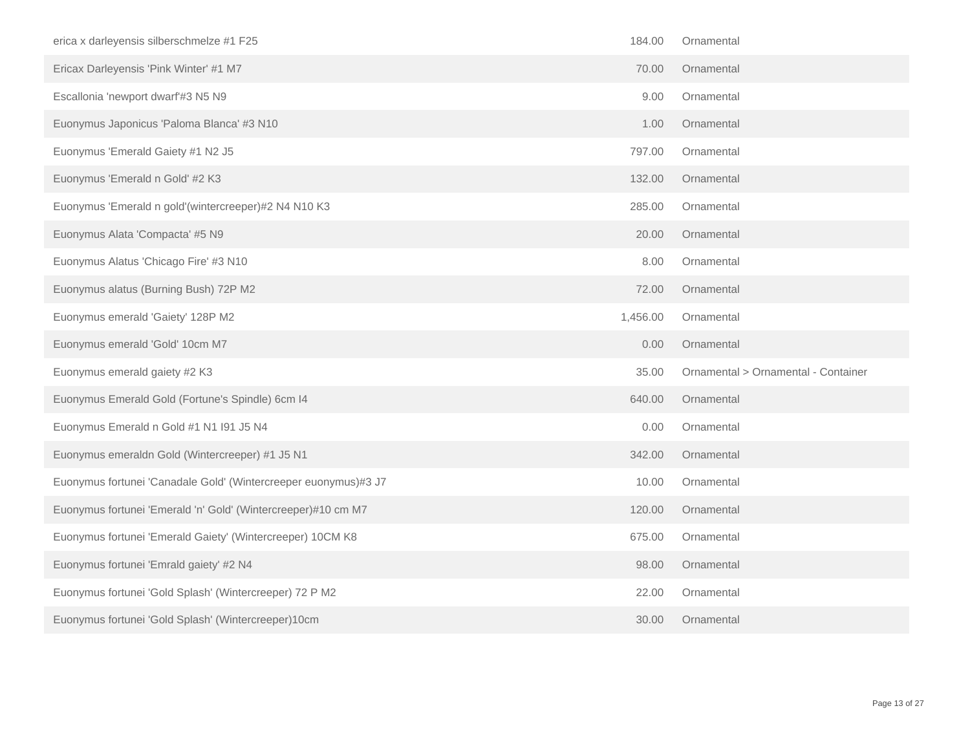| erica x darleyensis silberschmelze #1 F25                       | 184.00   | Ornamental                          |
|-----------------------------------------------------------------|----------|-------------------------------------|
| Ericax Darleyensis 'Pink Winter' #1 M7                          | 70.00    | Ornamental                          |
| Escallonia 'newport dwarf'#3 N5 N9                              | 9.00     | Ornamental                          |
| Euonymus Japonicus 'Paloma Blanca' #3 N10                       | 1.00     | Ornamental                          |
| Euonymus 'Emerald Gaiety #1 N2 J5                               | 797.00   | Ornamental                          |
| Euonymus 'Emerald n Gold' #2 K3                                 | 132.00   | Ornamental                          |
| Euonymus 'Emerald n gold'(wintercreeper)#2 N4 N10 K3            | 285.00   | Ornamental                          |
| Euonymus Alata 'Compacta' #5 N9                                 | 20.00    | Ornamental                          |
| Euonymus Alatus 'Chicago Fire' #3 N10                           | 8.00     | Ornamental                          |
| Euonymus alatus (Burning Bush) 72P M2                           | 72.00    | Ornamental                          |
| Euonymus emerald 'Gaiety' 128P M2                               | 1,456.00 | Ornamental                          |
|                                                                 |          |                                     |
| Euonymus emerald 'Gold' 10cm M7                                 | 0.00     | Ornamental                          |
| Euonymus emerald gaiety #2 K3                                   | 35.00    | Ornamental > Ornamental - Container |
| Euonymus Emerald Gold (Fortune's Spindle) 6cm I4                | 640.00   | Ornamental                          |
| Euonymus Emerald n Gold #1 N1 I91 J5 N4                         | 0.00     | Ornamental                          |
| Euonymus emeraldn Gold (Wintercreeper) #1 J5 N1                 | 342.00   | Ornamental                          |
| Euonymus fortunei 'Canadale Gold' (Wintercreeper euonymus)#3 J7 | 10.00    | Ornamental                          |
| Euonymus fortunei 'Emerald 'n' Gold' (Wintercreeper)#10 cm M7   | 120.00   | Ornamental                          |
| Euonymus fortunei 'Emerald Gaiety' (Wintercreeper) 10CM K8      | 675.00   | Ornamental                          |
| Euonymus fortunei 'Emrald gaiety' #2 N4                         | 98.00    | Ornamental                          |
| Euonymus fortunei 'Gold Splash' (Wintercreeper) 72 P M2         | 22.00    | Ornamental                          |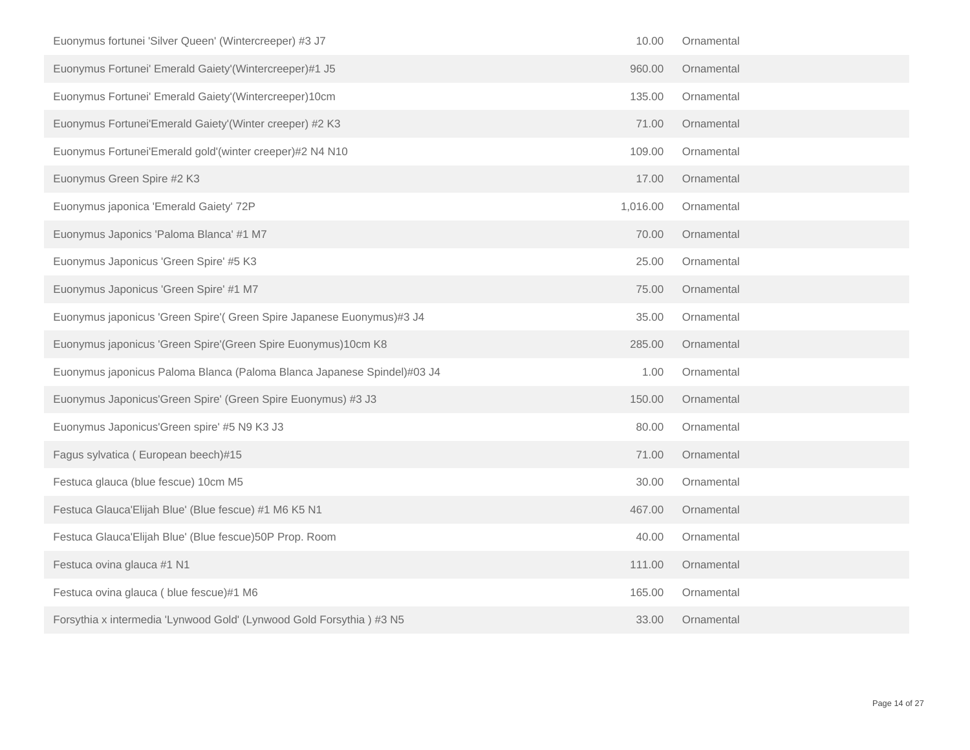| Euonymus fortunei 'Silver Queen' (Wintercreeper) #3 J7                  | 10.00    | Ornamental |
|-------------------------------------------------------------------------|----------|------------|
| Euonymus Fortunei' Emerald Gaiety'(Wintercreeper)#1 J5                  | 960.00   | Ornamental |
| Euonymus Fortunei' Emerald Gaiety'(Wintercreeper)10cm                   | 135.00   | Ornamental |
| Euonymus Fortunei'Emerald Gaiety'(Winter creeper) #2 K3                 | 71.00    | Ornamental |
| Euonymus Fortunei'Emerald gold'(winter creeper)#2 N4 N10                | 109.00   | Ornamental |
| Euonymus Green Spire #2 K3                                              | 17.00    | Ornamental |
| Euonymus japonica 'Emerald Gaiety' 72P                                  | 1,016.00 | Ornamental |
| Euonymus Japonics 'Paloma Blanca' #1 M7                                 | 70.00    | Ornamental |
| Euonymus Japonicus 'Green Spire' #5 K3                                  | 25.00    | Ornamental |
| Euonymus Japonicus 'Green Spire' #1 M7                                  | 75.00    | Ornamental |
| Euonymus japonicus 'Green Spire'( Green Spire Japanese Euonymus)#3 J4   | 35.00    | Ornamental |
| Euonymus japonicus 'Green Spire'(Green Spire Euonymus)10cm K8           | 285.00   | Ornamental |
| Euonymus japonicus Paloma Blanca (Paloma Blanca Japanese Spindel)#03 J4 | 1.00     | Ornamental |
| Euonymus Japonicus'Green Spire' (Green Spire Euonymus) #3 J3            | 150.00   | Ornamental |
| Euonymus Japonicus'Green spire' #5 N9 K3 J3                             | 80.00    | Ornamental |
| Fagus sylvatica (European beech)#15                                     | 71.00    | Ornamental |
| Festuca glauca (blue fescue) 10cm M5                                    | 30.00    | Ornamental |
| Festuca Glauca'Elijah Blue' (Blue fescue) #1 M6 K5 N1                   | 467.00   | Ornamental |
| Festuca Glauca'Elijah Blue' (Blue fescue)50P Prop. Room                 | 40.00    | Ornamental |
| Festuca ovina glauca #1 N1                                              | 111.00   | Ornamental |
| Festuca ovina glauca (blue fescue)#1 M6                                 | 165.00   | Ornamental |
| Forsythia x intermedia 'Lynwood Gold' (Lynwood Gold Forsythia) #3 N5    | 33.00    | Ornamental |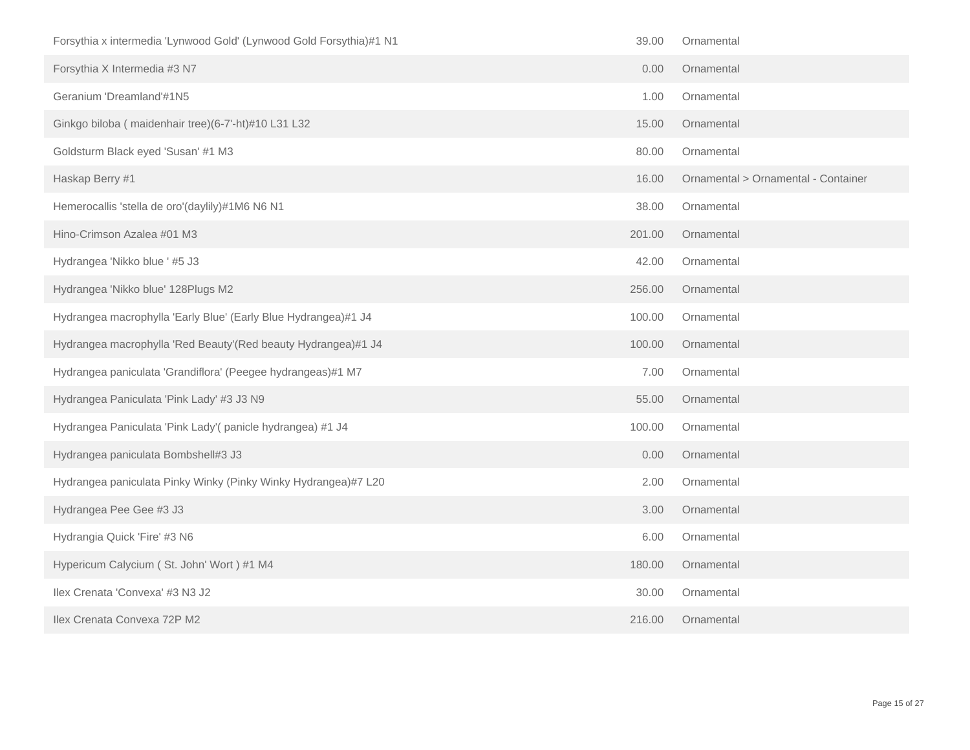| Forsythia x intermedia 'Lynwood Gold' (Lynwood Gold Forsythia)#1 N1 | 39.00  | Ornamental                          |
|---------------------------------------------------------------------|--------|-------------------------------------|
| Forsythia X Intermedia #3 N7                                        | 0.00   | Ornamental                          |
| Geranium 'Dreamland'#1N5                                            | 1.00   | Ornamental                          |
| Ginkgo biloba (maidenhair tree)(6-7'-ht)#10 L31 L32                 | 15.00  | Ornamental                          |
| Goldsturm Black eyed 'Susan' #1 M3                                  | 80.00  | Ornamental                          |
| Haskap Berry #1                                                     | 16.00  | Ornamental > Ornamental - Container |
| Hemerocallis 'stella de oro'(daylily)#1M6 N6 N1                     | 38.00  | Ornamental                          |
| Hino-Crimson Azalea #01 M3                                          | 201.00 | Ornamental                          |
| Hydrangea 'Nikko blue ' #5 J3                                       | 42.00  | Ornamental                          |
| Hydrangea 'Nikko blue' 128Plugs M2                                  | 256.00 | Ornamental                          |
| Hydrangea macrophylla 'Early Blue' (Early Blue Hydrangea)#1 J4      | 100.00 | Ornamental                          |
| Hydrangea macrophylla 'Red Beauty'(Red beauty Hydrangea)#1 J4       | 100.00 | Ornamental                          |
| Hydrangea paniculata 'Grandiflora' (Peegee hydrangeas)#1 M7         | 7.00   | Ornamental                          |
| Hydrangea Paniculata 'Pink Lady' #3 J3 N9                           | 55.00  | Ornamental                          |
| Hydrangea Paniculata 'Pink Lady'(panicle hydrangea) #1 J4           | 100.00 | Ornamental                          |
| Hydrangea paniculata Bombshell#3 J3                                 | 0.00   | Ornamental                          |
| Hydrangea paniculata Pinky Winky (Pinky Winky Hydrangea)#7 L20      | 2.00   | Ornamental                          |
| Hydrangea Pee Gee #3 J3                                             | 3.00   | Ornamental                          |
| Hydrangia Quick 'Fire' #3 N6                                        | 6.00   | Ornamental                          |
| Hypericum Calycium (St. John' Wort) #1 M4                           | 180.00 | Ornamental                          |
| Ilex Crenata 'Convexa' #3 N3 J2                                     | 30.00  | Ornamental                          |
| Ilex Crenata Convexa 72P M2                                         | 216.00 | Ornamental                          |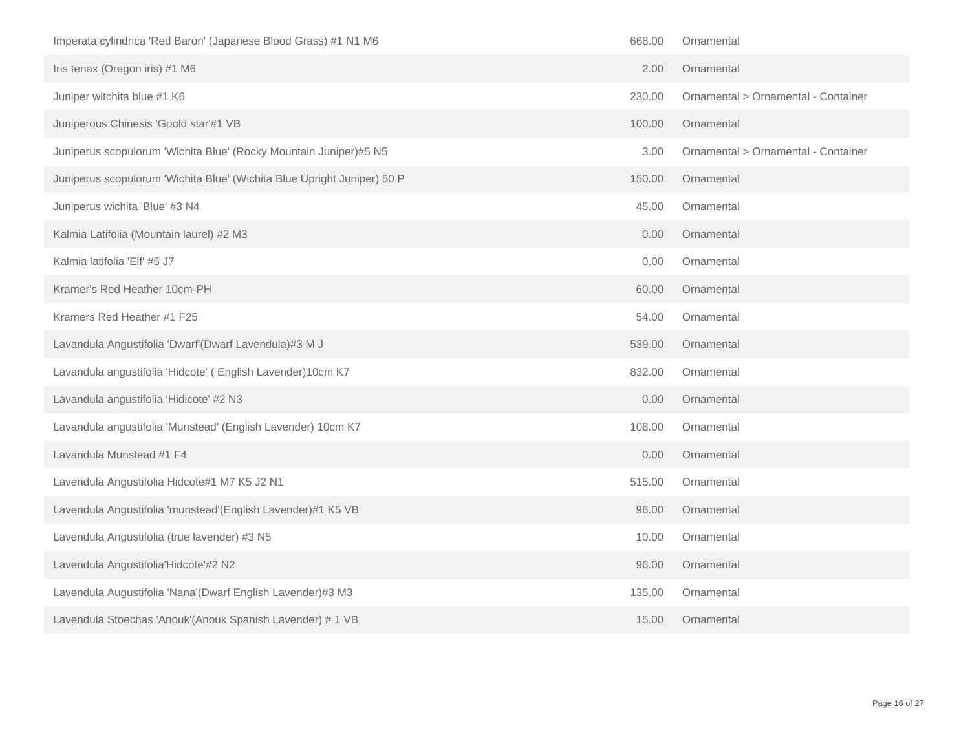| Imperata cylindrica 'Red Baron' (Japanese Blood Grass) #1 N1 M6         | 668.00 | Ornamental                          |
|-------------------------------------------------------------------------|--------|-------------------------------------|
| Iris tenax (Oregon iris) #1 M6                                          | 2.00   | Ornamental                          |
| Juniper witchita blue #1 K6                                             | 230.00 | Ornamental > Ornamental - Container |
| Juniperous Chinesis 'Goold star'#1 VB                                   | 100.00 | Ornamental                          |
| Juniperus scopulorum 'Wichita Blue' (Rocky Mountain Juniper)#5 N5       | 3.00   | Ornamental > Ornamental - Container |
| Juniperus scopulorum 'Wichita Blue' (Wichita Blue Upright Juniper) 50 P | 150.00 | Ornamental                          |
| Juniperus wichita 'Blue' #3 N4                                          | 45.00  | Ornamental                          |
| Kalmia Latifolia (Mountain laurel) #2 M3                                | 0.00   | Ornamental                          |
| Kalmia latifolia 'Elf' #5 J7                                            | 0.00   | Ornamental                          |
| Kramer's Red Heather 10cm-PH                                            | 60.00  | Ornamental                          |
| Kramers Red Heather #1 F25                                              | 54.00  | Ornamental                          |
| Lavandula Angustifolia 'Dwarf'(Dwarf Lavendula)#3 M J                   | 539.00 | Ornamental                          |
| Lavandula angustifolia 'Hidcote' (English Lavender)10cm K7              | 832.00 | Ornamental                          |
| Lavandula angustifolia 'Hidicote' #2 N3                                 | 0.00   | Ornamental                          |
| Lavandula angustifolia 'Munstead' (English Lavender) 10cm K7            | 108.00 | Ornamental                          |
| Lavandula Munstead #1 F4                                                | 0.00   | Ornamental                          |
| Lavendula Angustifolia Hidcote#1 M7 K5 J2 N1                            | 515.00 | Ornamental                          |
| Lavendula Angustifolia 'munstead'(English Lavender)#1 K5 VB             | 96.00  | Ornamental                          |
| Lavendula Angustifolia (true lavender) #3 N5                            | 10.00  | Ornamental                          |
| Lavendula Angustifolia'Hidcote'#2 N2                                    | 96.00  | Ornamental                          |
| Lavendula Augustifolia 'Nana'(Dwarf English Lavender)#3 M3              | 135.00 | Ornamental                          |
| Lavendula Stoechas 'Anouk'(Anouk Spanish Lavender) # 1 VB               | 15.00  | Ornamental                          |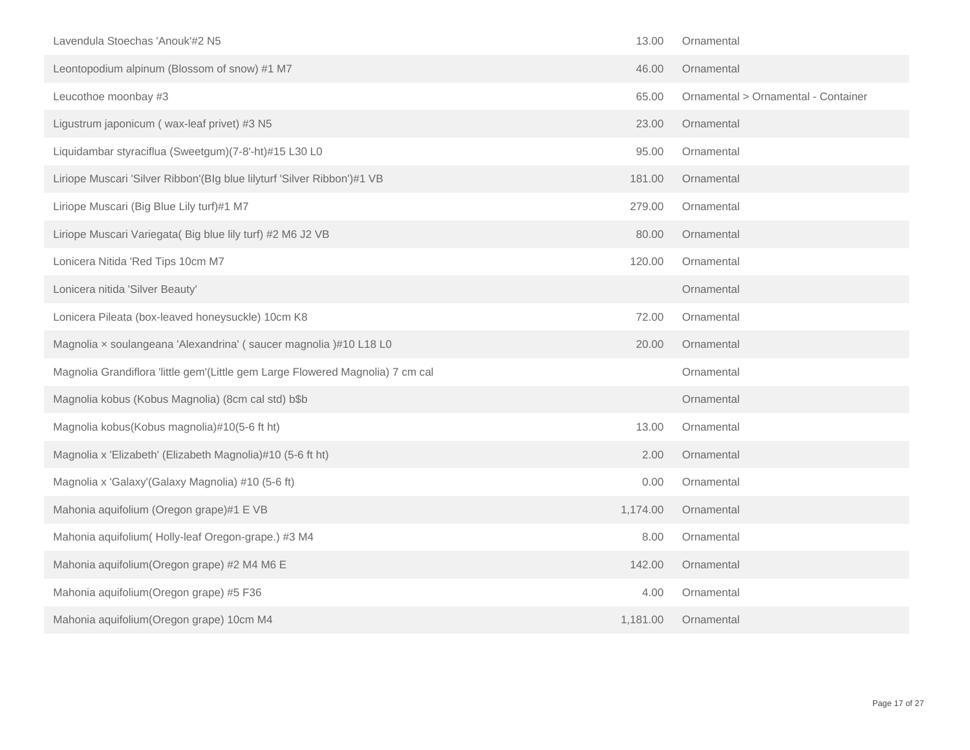| Lavendula Stoechas 'Anouk'#2 N5                                                | 13.00    | Ornamental                          |
|--------------------------------------------------------------------------------|----------|-------------------------------------|
| Leontopodium alpinum (Blossom of snow) #1 M7                                   | 46.00    | Ornamental                          |
| Leucothoe moonbay #3                                                           | 65.00    | Ornamental > Ornamental - Container |
| Ligustrum japonicum (wax-leaf privet) #3 N5                                    | 23.00    | Ornamental                          |
| Liquidambar styraciflua (Sweetgum)(7-8'-ht)#15 L30 L0                          | 95.00    | Ornamental                          |
| Liriope Muscari 'Silver Ribbon'(Blg blue lilyturf 'Silver Ribbon')#1 VB        | 181.00   | Ornamental                          |
| Liriope Muscari (Big Blue Lily turf)#1 M7                                      | 279.00   | Ornamental                          |
| Liriope Muscari Variegata( Big blue lily turf) #2 M6 J2 VB                     | 80.00    | Ornamental                          |
| Lonicera Nitida 'Red Tips 10cm M7                                              | 120.00   | Ornamental                          |
| Lonicera nitida 'Silver Beauty'                                                |          | Ornamental                          |
| Lonicera Pileata (box-leaved honeysuckle) 10cm K8                              | 72.00    | Ornamental                          |
| Magnolia x soulangeana 'Alexandrina' (saucer magnolia)#10 L18 L0               | 20.00    | Ornamental                          |
| Magnolia Grandiflora 'little gem'(Little gem Large Flowered Magnolia) 7 cm cal |          | Ornamental                          |
| Magnolia kobus (Kobus Magnolia) (8cm cal std) b\$b                             |          | Ornamental                          |
| Magnolia kobus(Kobus magnolia)#10(5-6 ft ht)                                   | 13.00    | Ornamental                          |
| Magnolia x 'Elizabeth' (Elizabeth Magnolia)#10 (5-6 ft ht)                     | 2.00     | Ornamental                          |
| Magnolia x 'Galaxy'(Galaxy Magnolia) #10 (5-6 ft)                              | 0.00     | Ornamental                          |
| Mahonia aquifolium (Oregon grape)#1 E VB                                       | 1,174.00 | Ornamental                          |
| Mahonia aquifolium (Holly-leaf Oregon-grape.) #3 M4                            | 8.00     | Ornamental                          |
| Mahonia aquifolium (Oregon grape) #2 M4 M6 E                                   | 142.00   | Ornamental                          |
| Mahonia aquifolium (Oregon grape) #5 F36                                       | 4.00     | Ornamental                          |
| Mahonia aquifolium (Oregon grape) 10cm M4                                      | 1,181.00 | Ornamental                          |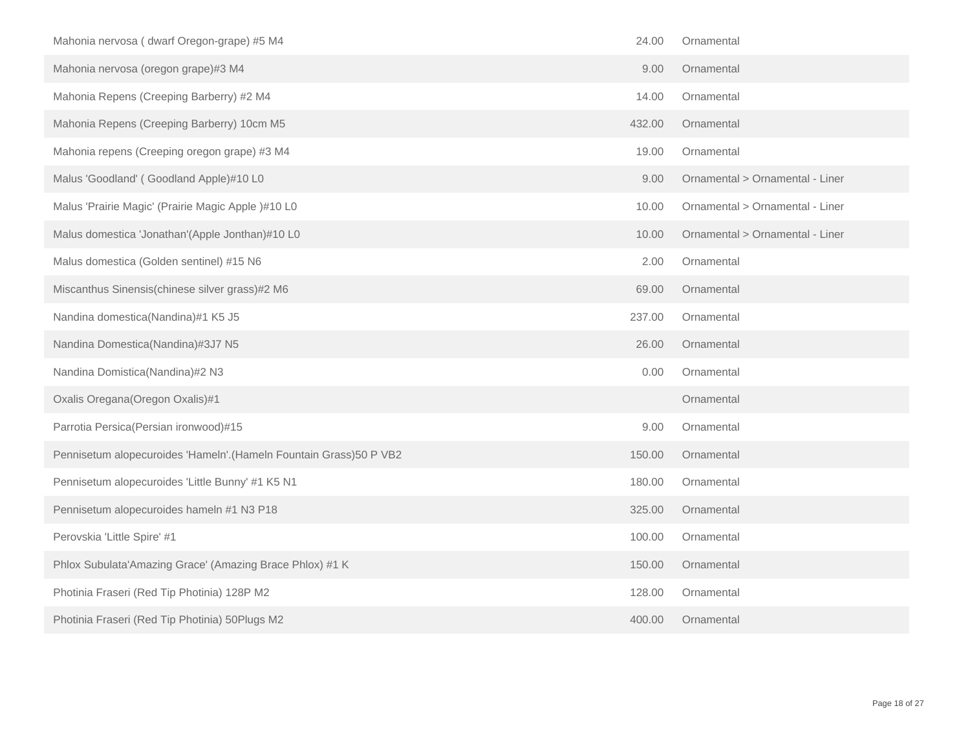| Mahonia nervosa (dwarf Oregon-grape) #5 M4                          | 24.00  | Ornamental                      |
|---------------------------------------------------------------------|--------|---------------------------------|
| Mahonia nervosa (oregon grape)#3 M4                                 | 9.00   | Ornamental                      |
| Mahonia Repens (Creeping Barberry) #2 M4                            | 14.00  | Ornamental                      |
| Mahonia Repens (Creeping Barberry) 10cm M5                          | 432.00 | Ornamental                      |
| Mahonia repens (Creeping oregon grape) #3 M4                        | 19.00  | Ornamental                      |
| Malus 'Goodland' (Goodland Apple)#10 L0                             | 9.00   | Ornamental > Ornamental - Liner |
| Malus 'Prairie Magic' (Prairie Magic Apple )#10 L0                  | 10.00  | Ornamental > Ornamental - Liner |
| Malus domestica 'Jonathan'(Apple Jonthan)#10 L0                     | 10.00  | Ornamental > Ornamental - Liner |
| Malus domestica (Golden sentinel) #15 N6                            | 2.00   | Ornamental                      |
| Miscanthus Sinensis(chinese silver grass)#2 M6                      | 69.00  | Ornamental                      |
| Nandina domestica(Nandina)#1 K5 J5                                  | 237.00 | Ornamental                      |
| Nandina Domestica(Nandina)#3J7 N5                                   | 26.00  | Ornamental                      |
| Nandina Domistica(Nandina)#2 N3                                     | 0.00   | Ornamental                      |
| Oxalis Oregana(Oregon Oxalis)#1                                     |        | Ornamental                      |
| Parrotia Persica(Persian ironwood)#15                               | 9.00   | Ornamental                      |
| Pennisetum alopecuroides 'Hameln'. (Hameln Fountain Grass) 50 P VB2 | 150.00 | Ornamental                      |
| Pennisetum alopecuroides 'Little Bunny' #1 K5 N1                    | 180.00 | Ornamental                      |
| Pennisetum alopecuroides hameln #1 N3 P18                           | 325.00 | Ornamental                      |
| Perovskia 'Little Spire' #1                                         | 100.00 | Ornamental                      |
| Phlox Subulata'Amazing Grace' (Amazing Brace Phlox) #1 K            | 150.00 | Ornamental                      |
| Photinia Fraseri (Red Tip Photinia) 128P M2                         | 128.00 | Ornamental                      |
| Photinia Fraseri (Red Tip Photinia) 50Plugs M2                      | 400.00 | Ornamental                      |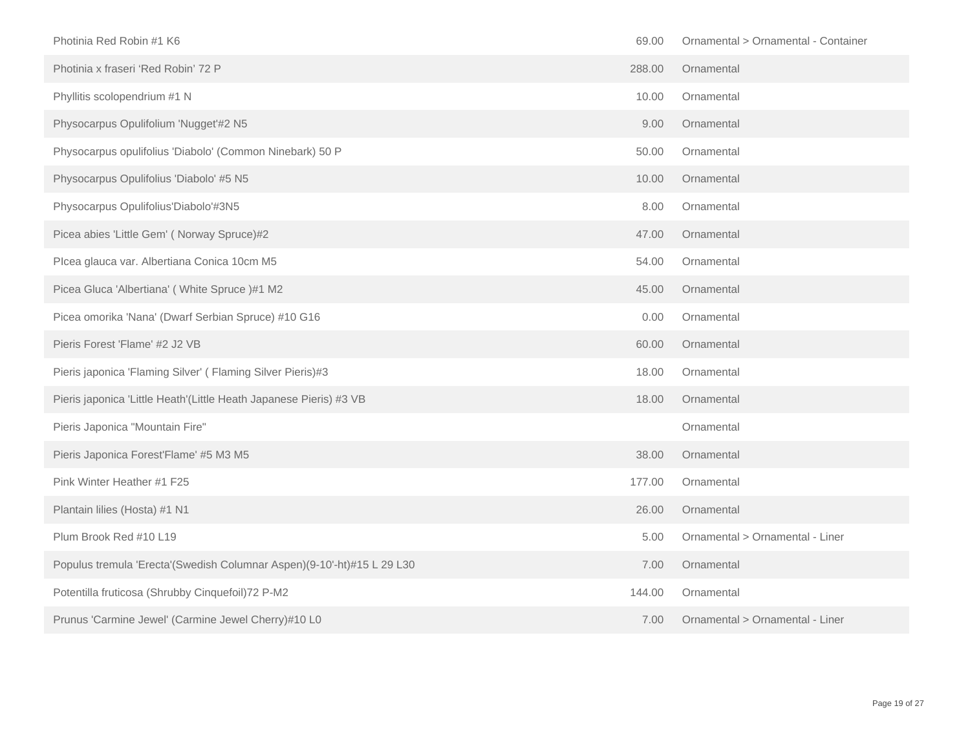| Photinia Red Robin #1 K6                                               | 69.00  | Ornamental > Ornamental - Container |
|------------------------------------------------------------------------|--------|-------------------------------------|
| Photinia x fraseri 'Red Robin' 72 P                                    | 288.00 | Ornamental                          |
| Phyllitis scolopendrium #1 N                                           | 10.00  | Ornamental                          |
| Physocarpus Opulifolium 'Nugget'#2 N5                                  | 9.00   | Ornamental                          |
| Physocarpus opulifolius 'Diabolo' (Common Ninebark) 50 P               | 50.00  | Ornamental                          |
| Physocarpus Opulifolius 'Diabolo' #5 N5                                | 10.00  | Ornamental                          |
| Physocarpus Opulifolius'Diabolo'#3N5                                   | 8.00   | Ornamental                          |
| Picea abies 'Little Gem' (Norway Spruce)#2                             | 47.00  | Ornamental                          |
| Plcea glauca var. Albertiana Conica 10cm M5                            | 54.00  | Ornamental                          |
| Picea Gluca 'Albertiana' (White Spruce)#1 M2                           | 45.00  | Ornamental                          |
| Picea omorika 'Nana' (Dwarf Serbian Spruce) #10 G16                    | 0.00   | Ornamental                          |
| Pieris Forest 'Flame' #2 J2 VB                                         | 60.00  | Ornamental                          |
| Pieris japonica 'Flaming Silver' (Flaming Silver Pieris)#3             | 18.00  | Ornamental                          |
| Pieris japonica 'Little Heath'(Little Heath Japanese Pieris) #3 VB     | 18.00  | Ornamental                          |
| Pieris Japonica "Mountain Fire"                                        |        | Ornamental                          |
| Pieris Japonica Forest'Flame' #5 M3 M5                                 | 38.00  | Ornamental                          |
| Pink Winter Heather #1 F25                                             | 177.00 | Ornamental                          |
| Plantain lilies (Hosta) #1 N1                                          | 26.00  | Ornamental                          |
| Plum Brook Red #10 L19                                                 | 5.00   | Ornamental > Ornamental - Liner     |
| Populus tremula 'Erecta'(Swedish Columnar Aspen)(9-10'-ht)#15 L 29 L30 | 7.00   | Ornamental                          |
| Potentilla fruticosa (Shrubby Cinquefoil) 72 P-M2                      | 144.00 | Ornamental                          |
| Prunus 'Carmine Jewel' (Carmine Jewel Cherry)#10 L0                    | 7.00   | Ornamental > Ornamental - Liner     |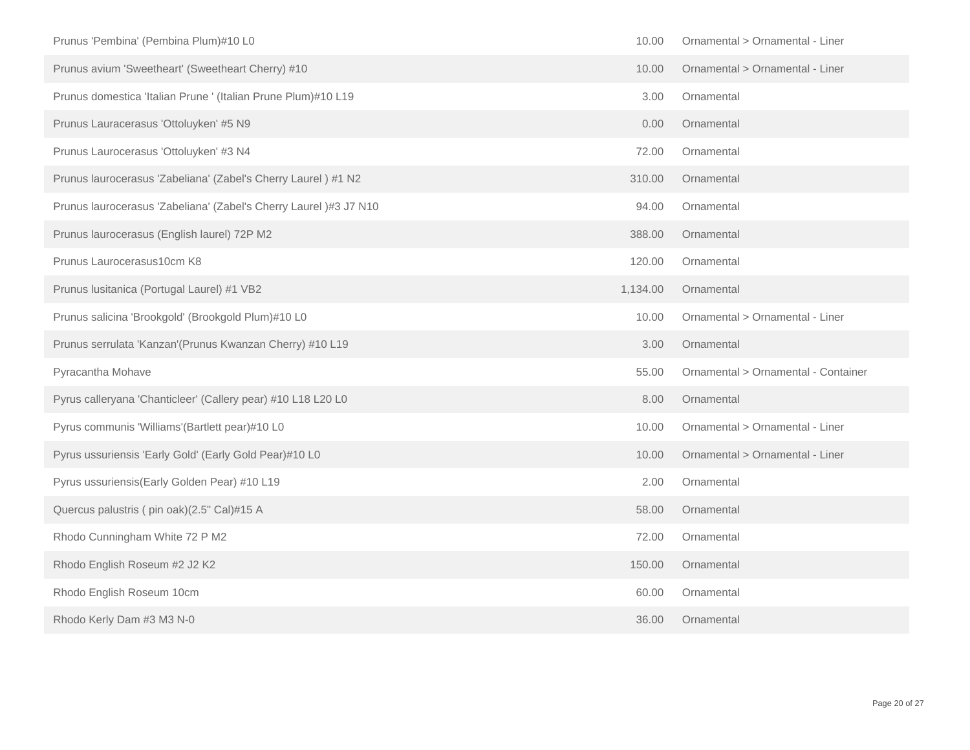| Prunus 'Pembina' (Pembina Plum)#10 L0                             | 10.00    | Ornamental > Ornamental - Liner     |
|-------------------------------------------------------------------|----------|-------------------------------------|
| Prunus avium 'Sweetheart' (Sweetheart Cherry) #10                 | 10.00    | Ornamental > Ornamental - Liner     |
| Prunus domestica 'Italian Prune ' (Italian Prune Plum)#10 L19     | 3.00     | Ornamental                          |
| Prunus Lauracerasus 'Ottoluyken' #5 N9                            | 0.00     | Ornamental                          |
| Prunus Laurocerasus 'Ottoluyken' #3 N4                            | 72.00    | Ornamental                          |
| Prunus laurocerasus 'Zabeliana' (Zabel's Cherry Laurel) #1 N2     | 310.00   | Ornamental                          |
| Prunus laurocerasus 'Zabeliana' (Zabel's Cherry Laurel )#3 J7 N10 | 94.00    | Ornamental                          |
| Prunus laurocerasus (English laurel) 72P M2                       | 388.00   | Ornamental                          |
| Prunus Laurocerasus10cm K8                                        | 120.00   | Ornamental                          |
| Prunus Iusitanica (Portugal Laurel) #1 VB2                        | 1,134.00 | Ornamental                          |
| Prunus salicina 'Brookgold' (Brookgold Plum)#10 L0                | 10.00    | Ornamental > Ornamental - Liner     |
| Prunus serrulata 'Kanzan'(Prunus Kwanzan Cherry) #10 L19          | 3.00     | Ornamental                          |
| Pyracantha Mohave                                                 | 55.00    | Ornamental > Ornamental - Container |
| Pyrus calleryana 'Chanticleer' (Callery pear) #10 L18 L20 L0      | 8.00     | Ornamental                          |
| Pyrus communis 'Williams'(Bartlett pear)#10 L0                    | 10.00    | Ornamental > Ornamental - Liner     |
| Pyrus ussuriensis 'Early Gold' (Early Gold Pear)#10 L0            | 10.00    | Ornamental > Ornamental - Liner     |
| Pyrus ussuriensis(Early Golden Pear) #10 L19                      | 2.00     | Ornamental                          |
| Quercus palustris (pin oak)(2.5" Cal)#15 A                        | 58.00    | Ornamental                          |
| Rhodo Cunningham White 72 P M2                                    | 72.00    | Ornamental                          |
| Rhodo English Roseum #2 J2 K2                                     | 150.00   | Ornamental                          |
| Rhodo English Roseum 10cm                                         | 60.00    | Ornamental                          |
| Rhodo Kerly Dam #3 M3 N-0                                         | 36.00    | Ornamental                          |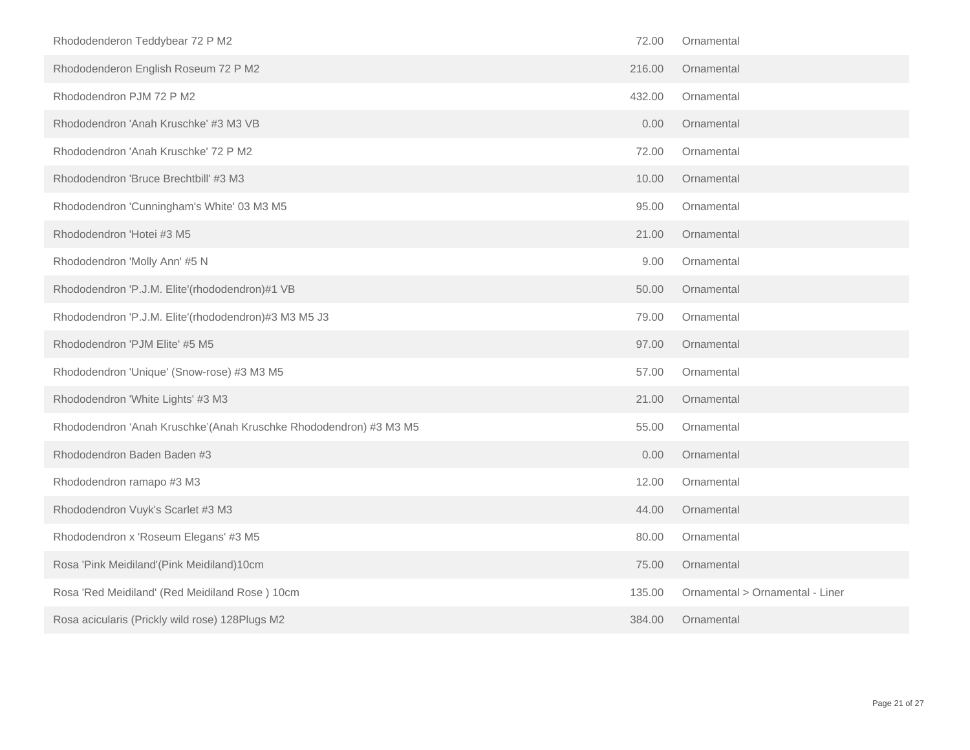| Rhododenderon Teddybear 72 P M2                                   | 72.00  | Ornamental                      |
|-------------------------------------------------------------------|--------|---------------------------------|
| Rhododenderon English Roseum 72 P M2                              | 216.00 | Ornamental                      |
| Rhododendron PJM 72 P M2                                          | 432.00 | Ornamental                      |
| Rhododendron 'Anah Kruschke' #3 M3 VB                             | 0.00   | Ornamental                      |
| Rhododendron 'Anah Kruschke' 72 P M2                              | 72.00  | Ornamental                      |
| Rhododendron 'Bruce Brechtbill' #3 M3                             | 10.00  | Ornamental                      |
| Rhododendron 'Cunningham's White' 03 M3 M5                        | 95.00  | Ornamental                      |
| Rhododendron 'Hotei #3 M5                                         | 21.00  | Ornamental                      |
| Rhododendron 'Molly Ann' #5 N                                     | 9.00   | Ornamental                      |
| Rhododendron 'P.J.M. Elite'(rhododendron)#1 VB                    | 50.00  | Ornamental                      |
| Rhododendron 'P.J.M. Elite'(rhododendron)#3 M3 M5 J3              | 79.00  | Ornamental                      |
| Rhododendron 'PJM Elite' #5 M5                                    | 97.00  | Ornamental                      |
| Rhododendron 'Unique' (Snow-rose) #3 M3 M5                        | 57.00  | Ornamental                      |
| Rhododendron 'White Lights' #3 M3                                 | 21.00  | Ornamental                      |
| Rhododendron 'Anah Kruschke'(Anah Kruschke Rhododendron) #3 M3 M5 | 55.00  | Ornamental                      |
| Rhododendron Baden Baden #3                                       | 0.00   | Ornamental                      |
| Rhododendron ramapo #3 M3                                         | 12.00  | Ornamental                      |
| Rhododendron Vuyk's Scarlet #3 M3                                 | 44.00  | Ornamental                      |
| Rhododendron x 'Roseum Elegans' #3 M5                             | 80.00  | Ornamental                      |
| Rosa 'Pink Meidiland'(Pink Meidiland)10cm                         | 75.00  | Ornamental                      |
| Rosa 'Red Meidiland' (Red Meidiland Rose) 10cm                    | 135.00 | Ornamental > Ornamental - Liner |
| Rosa acicularis (Prickly wild rose) 128Plugs M2                   | 384.00 | Ornamental                      |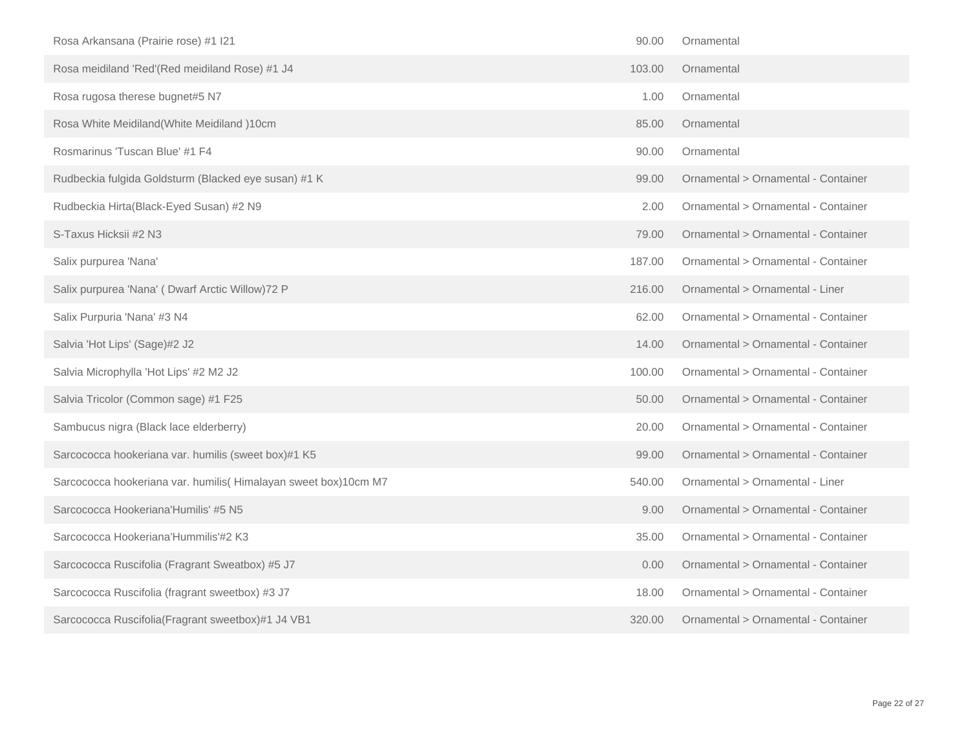| Rosa Arkansana (Prairie rose) #1 I21                            | 90.00  | Ornamental                          |
|-----------------------------------------------------------------|--------|-------------------------------------|
| Rosa meidiland 'Red'(Red meidiland Rose) #1 J4                  | 103.00 | Ornamental                          |
| Rosa rugosa therese bugnet#5 N7                                 | 1.00   | Ornamental                          |
| Rosa White Meidiland(White Meidiland)10cm                       | 85.00  | Ornamental                          |
| Rosmarinus 'Tuscan Blue' #1 F4                                  | 90.00  | Ornamental                          |
| Rudbeckia fulgida Goldsturm (Blacked eye susan) #1 K            | 99.00  | Ornamental > Ornamental - Container |
| Rudbeckia Hirta(Black-Eyed Susan) #2 N9                         | 2.00   | Ornamental > Ornamental - Container |
| S-Taxus Hicksii #2 N3                                           | 79.00  | Ornamental > Ornamental - Container |
| Salix purpurea 'Nana'                                           | 187.00 | Ornamental > Ornamental - Container |
| Salix purpurea 'Nana' (Dwarf Arctic Willow) 72 P                | 216.00 | Ornamental > Ornamental - Liner     |
| Salix Purpuria 'Nana' #3 N4                                     | 62.00  | Ornamental > Ornamental - Container |
| Salvia 'Hot Lips' (Sage)#2 J2                                   | 14.00  | Ornamental > Ornamental - Container |
| Salvia Microphylla 'Hot Lips' #2 M2 J2                          | 100.00 | Ornamental > Ornamental - Container |
| Salvia Tricolor (Common sage) #1 F25                            | 50.00  | Ornamental > Ornamental - Container |
| Sambucus nigra (Black lace elderberry)                          | 20.00  | Ornamental > Ornamental - Container |
| Sarcococca hookeriana var. humilis (sweet box)#1 K5             | 99.00  | Ornamental > Ornamental - Container |
| Sarcococca hookeriana var. humilis (Himalayan sweet box)10cm M7 | 540.00 | Ornamental > Ornamental - Liner     |
| Sarcococca Hookeriana'Humilis' #5 N5                            | 9.00   | Ornamental > Ornamental - Container |
| Sarcococca Hookeriana'Hummilis'#2 K3                            | 35.00  | Ornamental > Ornamental - Container |
| Sarcococca Ruscifolia (Fragrant Sweatbox) #5 J7                 | 0.00   | Ornamental > Ornamental - Container |
| Sarcococca Ruscifolia (fragrant sweetbox) #3 J7                 | 18.00  | Ornamental > Ornamental - Container |
| Sarcococca Ruscifolia(Fragrant sweetbox)#1 J4 VB1               | 320.00 | Ornamental > Ornamental - Container |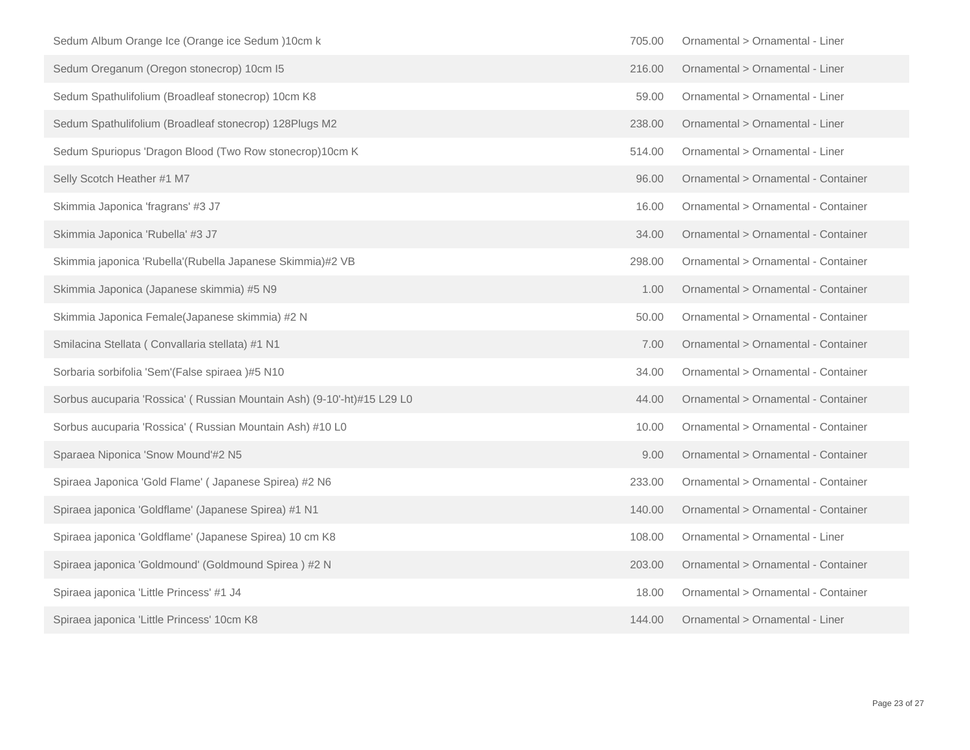| Sedum Album Orange Ice (Orange ice Sedum )10cm k                       | 705.00 | Ornamental > Ornamental - Liner     |
|------------------------------------------------------------------------|--------|-------------------------------------|
| Sedum Oreganum (Oregon stonecrop) 10cm I5                              | 216.00 | Ornamental > Ornamental - Liner     |
| Sedum Spathulifolium (Broadleaf stonecrop) 10cm K8                     | 59.00  | Ornamental > Ornamental - Liner     |
| Sedum Spathulifolium (Broadleaf stonecrop) 128Plugs M2                 | 238.00 | Ornamental > Ornamental - Liner     |
| Sedum Spuriopus 'Dragon Blood (Two Row stonecrop)10cm K                | 514.00 | Ornamental > Ornamental - Liner     |
| Selly Scotch Heather #1 M7                                             | 96.00  | Ornamental > Ornamental - Container |
| Skimmia Japonica 'fragrans' #3 J7                                      | 16.00  | Ornamental > Ornamental - Container |
| Skimmia Japonica 'Rubella' #3 J7                                       | 34.00  | Ornamental > Ornamental - Container |
| Skimmia japonica 'Rubella'(Rubella Japanese Skimmia)#2 VB              | 298.00 | Ornamental > Ornamental - Container |
| Skimmia Japonica (Japanese skimmia) #5 N9                              | 1.00   | Ornamental > Ornamental - Container |
| Skimmia Japonica Female(Japanese skimmia) #2 N                         | 50.00  | Ornamental > Ornamental - Container |
| Smilacina Stellata (Convallaria stellata) #1 N1                        | 7.00   | Ornamental > Ornamental - Container |
| Sorbaria sorbifolia 'Sem'(False spiraea)#5 N10                         | 34.00  | Ornamental > Ornamental - Container |
| Sorbus aucuparia 'Rossica' (Russian Mountain Ash) (9-10'-ht)#15 L29 L0 | 44.00  | Ornamental > Ornamental - Container |
| Sorbus aucuparia 'Rossica' (Russian Mountain Ash) #10 L0               | 10.00  | Ornamental > Ornamental - Container |
| Sparaea Niponica 'Snow Mound'#2 N5                                     | 9.00   | Ornamental > Ornamental - Container |
| Spiraea Japonica 'Gold Flame' (Japanese Spirea) #2 N6                  | 233.00 | Ornamental > Ornamental - Container |
| Spiraea japonica 'Goldflame' (Japanese Spirea) #1 N1                   | 140.00 | Ornamental > Ornamental - Container |
| Spiraea japonica 'Goldflame' (Japanese Spirea) 10 cm K8                | 108.00 | Ornamental > Ornamental - Liner     |
| Spiraea japonica 'Goldmound' (Goldmound Spirea) #2 N                   | 203.00 | Ornamental > Ornamental - Container |
| Spiraea japonica 'Little Princess' #1 J4                               | 18.00  | Ornamental > Ornamental - Container |
| Spiraea japonica 'Little Princess' 10cm K8                             | 144.00 | Ornamental > Ornamental - Liner     |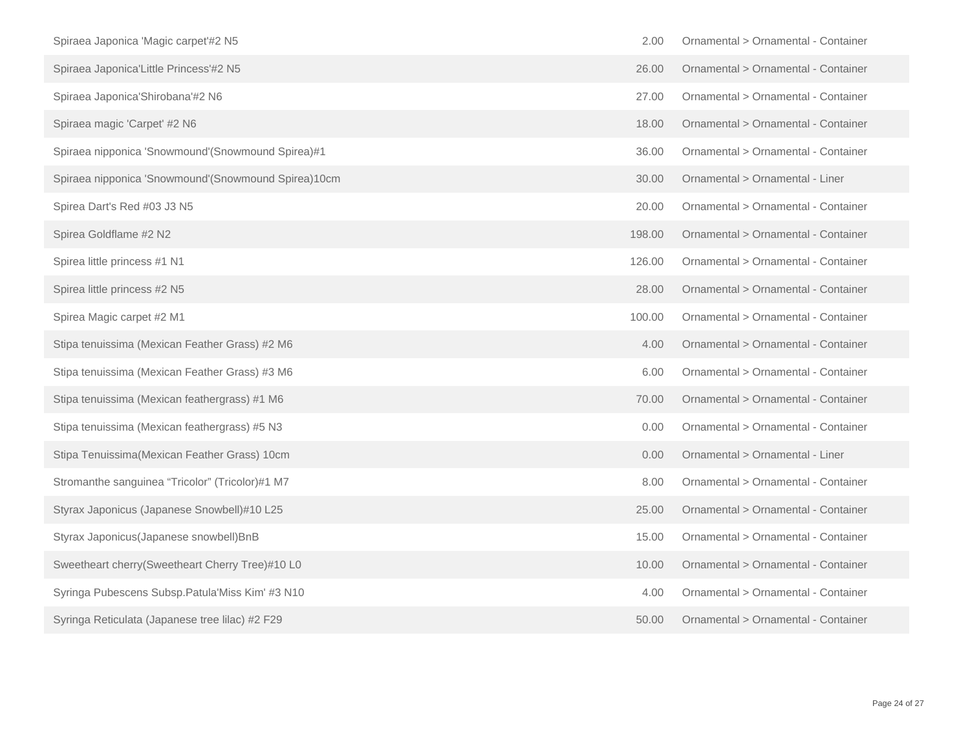| Spiraea Japonica 'Magic carpet'#2 N5                | 2.00   | Ornamental > Ornamental - Container |
|-----------------------------------------------------|--------|-------------------------------------|
| Spiraea Japonica'Little Princess'#2 N5              | 26.00  | Ornamental > Ornamental - Container |
| Spiraea Japonica'Shirobana'#2 N6                    | 27.00  | Ornamental > Ornamental - Container |
| Spiraea magic 'Carpet' #2 N6                        | 18.00  | Ornamental > Ornamental - Container |
| Spiraea nipponica 'Snowmound'(Snowmound Spirea)#1   | 36.00  | Ornamental > Ornamental - Container |
| Spiraea nipponica 'Snowmound'(Snowmound Spirea)10cm | 30.00  | Ornamental > Ornamental - Liner     |
| Spirea Dart's Red #03 J3 N5                         | 20.00  | Ornamental > Ornamental - Container |
| Spirea Goldflame #2 N2                              | 198.00 | Ornamental > Ornamental - Container |
| Spirea little princess #1 N1                        | 126.00 | Ornamental > Ornamental - Container |
| Spirea little princess #2 N5                        | 28.00  | Ornamental > Ornamental - Container |
| Spirea Magic carpet #2 M1                           | 100.00 | Ornamental > Ornamental - Container |
| Stipa tenuissima (Mexican Feather Grass) #2 M6      | 4.00   | Ornamental > Ornamental - Container |
| Stipa tenuissima (Mexican Feather Grass) #3 M6      | 6.00   | Ornamental > Ornamental - Container |
| Stipa tenuissima (Mexican feathergrass) #1 M6       | 70.00  | Ornamental > Ornamental - Container |
| Stipa tenuissima (Mexican feathergrass) #5 N3       | 0.00   | Ornamental > Ornamental - Container |
| Stipa Tenuissima (Mexican Feather Grass) 10cm       | 0.00   | Ornamental > Ornamental - Liner     |
| Stromanthe sanguinea "Tricolor" (Tricolor)#1 M7     | 8.00   | Ornamental > Ornamental - Container |
| Styrax Japonicus (Japanese Snowbell)#10 L25         | 25.00  | Ornamental > Ornamental - Container |
| Styrax Japonicus(Japanese snowbell) BnB             | 15.00  | Ornamental > Ornamental - Container |
| Sweetheart cherry(Sweetheart Cherry Tree)#10 L0     | 10.00  | Ornamental > Ornamental - Container |
| Syringa Pubescens Subsp. Patula'Miss Kim' #3 N10    | 4.00   | Ornamental > Ornamental - Container |
| Syringa Reticulata (Japanese tree lilac) #2 F29     | 50.00  | Ornamental > Ornamental - Container |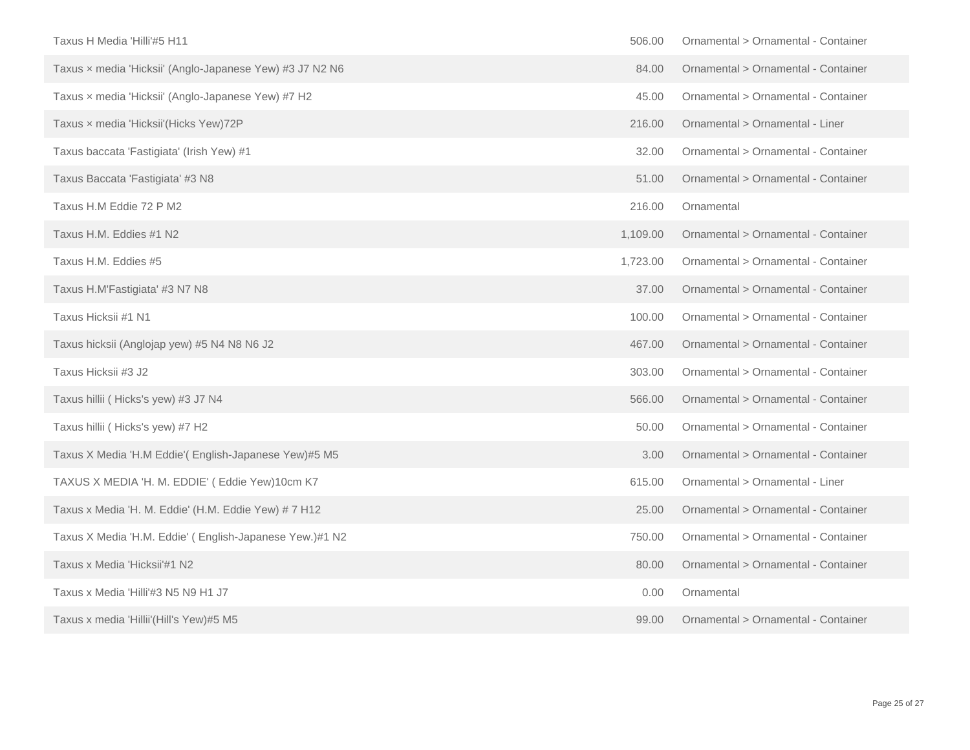| Taxus H Media 'Hilli'#5 H11                              | 506.00   | Ornamental > Ornamental - Container |
|----------------------------------------------------------|----------|-------------------------------------|
| Taxus x media 'Hicksii' (Anglo-Japanese Yew) #3 J7 N2 N6 | 84.00    | Ornamental > Ornamental - Container |
| Taxus x media 'Hicksii' (Anglo-Japanese Yew) #7 H2       | 45.00    | Ornamental > Ornamental - Container |
| Taxus x media 'Hicksii' (Hicks Yew) 72P                  | 216,00   | Ornamental > Ornamental - Liner     |
| Taxus baccata 'Fastigiata' (Irish Yew) #1                | 32.00    | Ornamental > Ornamental - Container |
| Taxus Baccata 'Fastigiata' #3 N8                         | 51.00    | Ornamental > Ornamental - Container |
| Taxus H.M Eddie 72 P M2                                  | 216.00   | Ornamental                          |
| Taxus H.M. Eddies #1 N2                                  | 1,109.00 | Ornamental > Ornamental - Container |
| Taxus H.M. Eddies #5                                     | 1,723.00 | Ornamental > Ornamental - Container |
| Taxus H.M'Fastigiata' #3 N7 N8                           | 37.00    | Ornamental > Ornamental - Container |
| Taxus Hicksii #1 N1                                      | 100.00   | Ornamental > Ornamental - Container |
| Taxus hicksii (Anglojap yew) #5 N4 N8 N6 J2              | 467.00   | Ornamental > Ornamental - Container |
| Taxus Hicksii #3 J2                                      | 303.00   | Ornamental > Ornamental - Container |
| Taxus hillii ( Hicks's yew) #3 J7 N4                     | 566.00   | Ornamental > Ornamental - Container |
| Taxus hillii ( Hicks's yew) #7 H2                        | 50.00    | Ornamental > Ornamental - Container |
| Taxus X Media 'H.M Eddie'( English-Japanese Yew)#5 M5    | 3.00     | Ornamental > Ornamental - Container |
| TAXUS X MEDIA 'H. M. EDDIE' ( Eddie Yew)10cm K7          | 615.00   | Ornamental > Ornamental - Liner     |
| Taxus x Media 'H. M. Eddie' (H.M. Eddie Yew) # 7 H12     | 25.00    | Ornamental > Ornamental - Container |
| Taxus X Media 'H.M. Eddie' (English-Japanese Yew.)#1 N2  | 750.00   | Ornamental > Ornamental - Container |
| Taxus x Media 'Hicksii'#1 N2                             | 80.00    | Ornamental > Ornamental - Container |
| Taxus x Media 'Hilli'#3 N5 N9 H1 J7                      | 0.00     | Ornamental                          |
| Taxus x media 'Hillii'(Hill's Yew)#5 M5                  | 99.00    | Ornamental > Ornamental - Container |